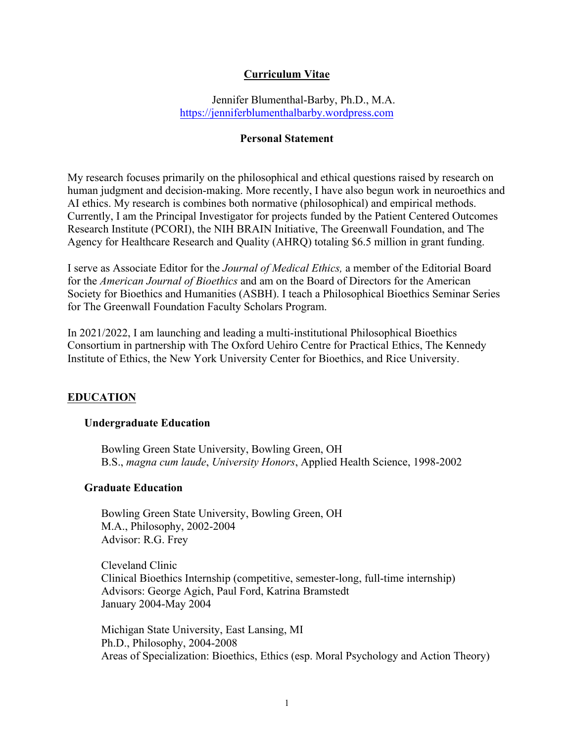# **Curriculum Vitae**

Jennifer Blumenthal-Barby, Ph.D., M.A. <https://jenniferblumenthalbarby.wordpress.com>

### **Personal Statement**

My research focuses primarily on the philosophical and ethical questions raised by research on human judgment and decision-making. More recently, I have also begun work in neuroethics and AI ethics. My research is combines both normative (philosophical) and empirical methods. Currently, I am the Principal Investigator for projects funded by the Patient Centered Outcomes Research Institute (PCORI), the NIH BRAIN Initiative, The Greenwall Foundation, and The Agency for Healthcare Research and Quality (AHRQ) totaling \$6.5 million in grant funding.

I serve as Associate Editor for the *Journal of Medical Ethics,* a member of the Editorial Board for the *American Journal of Bioethics* and am on the Board of Directors for the American Society for Bioethics and Humanities (ASBH). I teach a Philosophical Bioethics Seminar Series for The Greenwall Foundation Faculty Scholars Program.

In 2021/2022, I am launching and leading a multi-institutional Philosophical Bioethics Consortium in partnership with The Oxford Uehiro Centre for Practical Ethics, The Kennedy Institute of Ethics, the New York University Center for Bioethics, and Rice University.

# **EDUCATION**

## **Undergraduate Education**

Bowling Green State University, Bowling Green, OH B.S., *magna cum laude*, *University Honors*, Applied Health Science, 1998-2002

## **Graduate Education**

Bowling Green State University, Bowling Green, OH M.A., Philosophy, 2002-2004 Advisor: R.G. Frey

Cleveland Clinic Clinical Bioethics Internship (competitive, semester-long, full-time internship) Advisors: George Agich, Paul Ford, Katrina Bramstedt January 2004-May 2004

Michigan State University, East Lansing, MI Ph.D., Philosophy, 2004-2008 Areas of Specialization: Bioethics, Ethics (esp. Moral Psychology and Action Theory)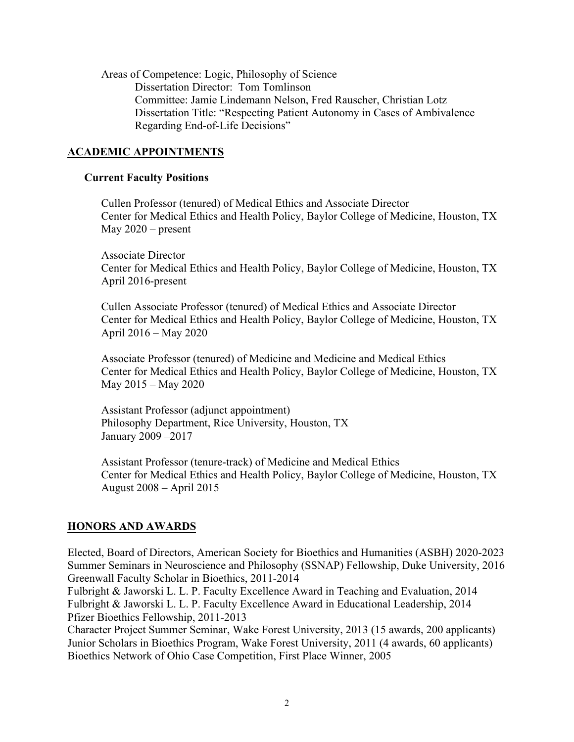Areas of Competence: Logic, Philosophy of Science Dissertation Director: Tom Tomlinson Committee: Jamie Lindemann Nelson, Fred Rauscher, Christian Lotz Dissertation Title: "Respecting Patient Autonomy in Cases of Ambivalence Regarding End-of-Life Decisions"

## **ACADEMIC APPOINTMENTS**

### **Current Faculty Positions**

Cullen Professor (tenured) of Medical Ethics and Associate Director Center for Medical Ethics and Health Policy, Baylor College of Medicine, Houston, TX May 2020 – present

Associate Director Center for Medical Ethics and Health Policy, Baylor College of Medicine, Houston, TX April 2016-present

Cullen Associate Professor (tenured) of Medical Ethics and Associate Director Center for Medical Ethics and Health Policy, Baylor College of Medicine, Houston, TX April 2016 – May 2020

Associate Professor (tenured) of Medicine and Medicine and Medical Ethics Center for Medical Ethics and Health Policy, Baylor College of Medicine, Houston, TX May 2015 – May 2020

Assistant Professor (adjunct appointment) Philosophy Department, Rice University, Houston, TX January 2009 –2017

Assistant Professor (tenure-track) of Medicine and Medical Ethics Center for Medical Ethics and Health Policy, Baylor College of Medicine, Houston, TX August 2008 – April 2015

## **HONORS AND AWARDS**

Elected, Board of Directors, American Society for Bioethics and Humanities (ASBH) 2020-2023 Summer Seminars in Neuroscience and Philosophy (SSNAP) Fellowship, Duke University, 2016 Greenwall Faculty Scholar in Bioethics, 2011-2014

Fulbright & Jaworski L. L. P. Faculty Excellence Award in Teaching and Evaluation, 2014 Fulbright & Jaworski L. L. P. Faculty Excellence Award in Educational Leadership, 2014 Pfizer Bioethics Fellowship, 2011-2013

Character Project Summer Seminar, Wake Forest University, 2013 (15 awards, 200 applicants) Junior Scholars in Bioethics Program, Wake Forest University, 2011 (4 awards, 60 applicants) Bioethics Network of Ohio Case Competition, First Place Winner, 2005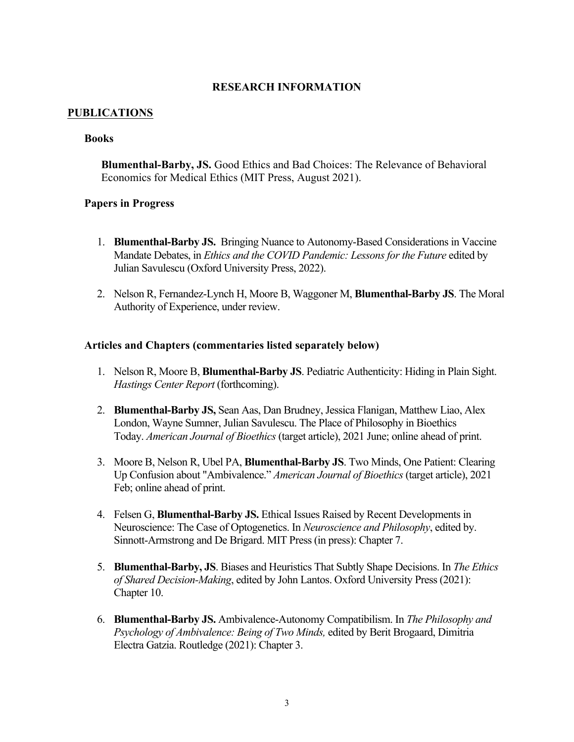## **RESEARCH INFORMATION**

## **PUBLICATIONS**

## **Books**

**Blumenthal-Barby, JS.** Good Ethics and Bad Choices: The Relevance of Behavioral Economics for Medical Ethics (MIT Press, August 2021).

## **Papers in Progress**

- 1. **Blumenthal-Barby JS.** Bringing Nuance to Autonomy-Based Considerations in Vaccine Mandate Debates, in *Ethics and the COVID Pandemic: Lessons for the Future* edited by Julian Savulescu (Oxford University Press, 2022).
- 2. Nelson R, Fernandez-Lynch H, Moore B, Waggoner M, **Blumenthal-Barby JS**. The Moral Authority of Experience, under review.

### **Articles and Chapters (commentaries listed separately below)**

- 1. Nelson R, Moore B, **Blumenthal-Barby JS**. Pediatric Authenticity: Hiding in Plain Sight. *Hastings Center Report* (forthcoming).
- 2. **Blumenthal-Barby JS,** Sean Aas, Dan Brudney, Jessica Flanigan, Matthew Liao, Alex London, Wayne Sumner, Julian Savulescu. The Place of Philosophy in Bioethics Today. *American Journal of Bioethics* (target article), 2021 June; online ahead of print.
- 3. Moore B, Nelson R, Ubel PA, **Blumenthal-Barby JS**. Two Minds, One Patient: Clearing Up Confusion about "Ambivalence." *American Journal of Bioethics* (target article), 2021 Feb; online ahead of print.
- 4. Felsen G, **Blumenthal-Barby JS.** Ethical Issues Raised by Recent Developments in Neuroscience: The Case of Optogenetics. In *Neuroscience and Philosophy*, edited by. Sinnott-Armstrong and De Brigard. MIT Press (in press): Chapter 7.
- 5. **Blumenthal-Barby, JS**. Biases and Heuristics That Subtly Shape Decisions. In *The Ethics of Shared Decision-Making*, edited by John Lantos. Oxford University Press (2021): Chapter 10.
- 6. **Blumenthal-Barby JS.** Ambivalence-Autonomy Compatibilism. In *The Philosophy and Psychology of Ambivalence: Being of Two Minds,* edited by Berit Brogaard, Dimitria Electra Gatzia. Routledge (2021): Chapter 3.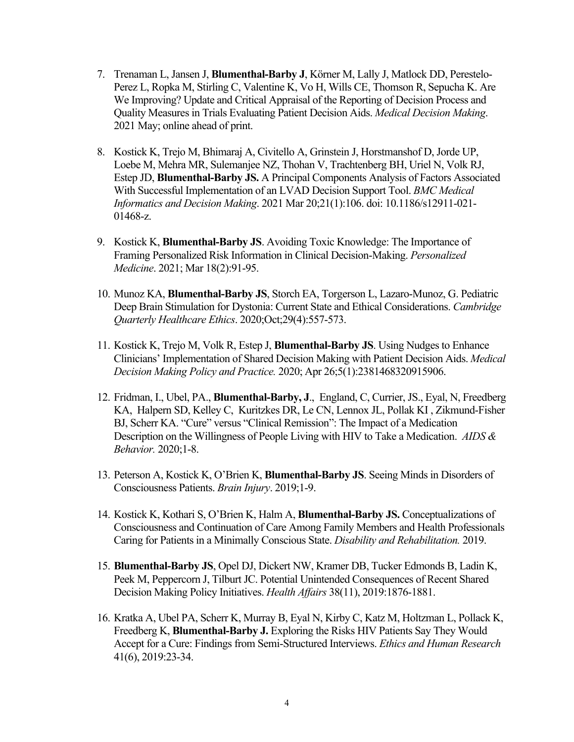- 7. Trenaman L, Jansen J, **Blumenthal-Barby J**, Körner M, Lally J, Matlock DD, Perestelo-Perez L, Ropka M, Stirling C, Valentine K, Vo H, Wills CE, Thomson R, Sepucha K. Are We Improving? Update and Critical Appraisal of the Reporting of Decision Process and Quality Measures in Trials Evaluating Patient Decision Aids. *Medical Decision Making*. 2021 May; online ahead of print.
- 8. Kostick K, Trejo M, Bhimaraj A, Civitello A, Grinstein J, Horstmanshof D, Jorde UP, Loebe M, Mehra MR, Sulemanjee NZ, Thohan V, Trachtenberg BH, Uriel N, Volk RJ, Estep JD, **Blumenthal-Barby JS.** A Principal Components Analysis of Factors Associated With Successful Implementation of an LVAD Decision Support Tool. *BMC Medical Informatics and Decision Making*. 2021 Mar 20;21(1):106. doi: 10.1186/s12911-021- 01468-z.
- 9. Kostick K, **Blumenthal-Barby JS**. Avoiding Toxic Knowledge: The Importance of Framing Personalized Risk Information in Clinical Decision-Making. *Personalized Medicine*. 2021; Mar 18(2):91-95.
- 10. Munoz KA, **Blumenthal-Barby JS**, Storch EA, Torgerson L, Lazaro-Munoz, G. Pediatric Deep Brain Stimulation for Dystonia: Current State and Ethical Considerations. *Cambridge Quarterly Healthcare Ethics*. 2020;Oct;29(4):557-573.
- 11. Kostick K, Trejo M, Volk R, Estep J, **Blumenthal-Barby JS**. Using Nudges to Enhance Clinicians' Implementation of Shared Decision Making with Patient Decision Aids. *Medical Decision Making Policy and Practice.* 2020; Apr 26;5(1):2381468320915906.
- 12. Fridman, I., Ubel, PA., **Blumenthal-Barby, J**., England, C, Currier, JS., Eyal, N, Freedberg KA, Halpern SD, Kelley C, Kuritzkes DR, Le CN, Lennox JL, Pollak KI , Zikmund-Fisher BJ, Scherr KA. "Cure" versus "Clinical Remission": The Impact of a Medication Description on the Willingness of People Living with HIV to Take a Medication. *AIDS & Behavior.* 2020;1-8.
- 13. Peterson A, Kostick K, O'Brien K, **Blumenthal-Barby JS**. Seeing Minds in Disorders of Consciousness Patients. *Brain Injury*. 2019;1-9.
- 14. Kostick K, Kothari S, O'Brien K, Halm A, **Blumenthal-Barby JS.** Conceptualizations of Consciousness and Continuation of Care Among Family Members and Health Professionals Caring for Patients in a Minimally Conscious State. *Disability and Rehabilitation.* 2019.
- 15. **Blumenthal-Barby JS**, Opel DJ, Dickert NW, Kramer DB, Tucker Edmonds B, Ladin K, Peek M, Peppercorn J, Tilburt JC. Potential Unintended Consequences of Recent Shared Decision Making Policy Initiatives. *Health Affairs* 38(11), 2019:1876-1881.
- 16. Kratka A, Ubel PA, Scherr K, Murray B, Eyal N, Kirby C, Katz M, Holtzman L, Pollack K, Freedberg K, **Blumenthal-Barby J.** Exploring the Risks HIV Patients Say They Would Accept for a Cure: Findings from Semi-Structured Interviews. *Ethics and Human Research*  41(6), 2019:23-34.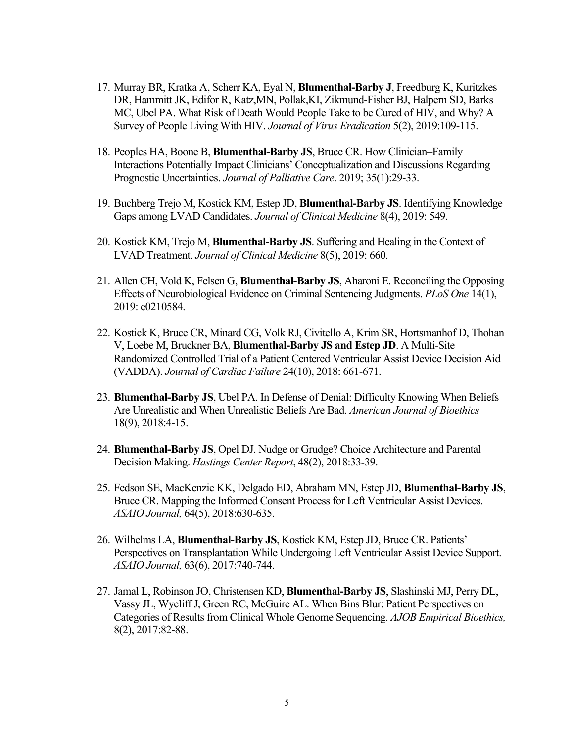- 17. Murray BR, Kratka A, Scherr KA, Eyal N, **Blumenthal-Barby J**, Freedburg K, Kuritzkes DR, Hammitt JK, Edifor R, Katz,MN, Pollak,KI, Zikmund-Fisher BJ, Halpern SD, Barks MC, Ubel PA. What Risk of Death Would People Take to be Cured of HIV, and Why? A Survey of People Living With HIV. *Journal of Virus Eradication* 5(2), 2019:109-115.
- 18. Peoples HA, Boone B, **Blumenthal-Barby JS**, Bruce CR. How Clinician–Family Interactions Potentially Impact Clinicians' Conceptualization and Discussions Regarding Prognostic Uncertainties. *Journal of Palliative Care*. 2019; 35(1):29-33.
- 19. Buchberg Trejo M, Kostick KM, Estep JD, **Blumenthal-Barby JS**. Identifying Knowledge Gaps among LVAD Candidates. *Journal of Clinical Medicine* 8(4), 2019: 549.
- 20. Kostick KM, Trejo M, **Blumenthal-Barby JS**. Suffering and Healing in the Context of LVAD Treatment. *Journal of Clinical Medicine* 8(5), 2019: 660.
- 21. Allen CH, Vold K, Felsen G, **Blumenthal-Barby JS**, Aharoni E. Reconciling the Opposing Effects of Neurobiological Evidence on Criminal Sentencing Judgments. *PLoS One* 14(1), 2019: e0210584.
- 22. Kostick K, Bruce CR, Minard CG, Volk RJ, Civitello A, Krim SR, Hortsmanhof D, Thohan V, Loebe M, Bruckner BA, **Blumenthal-Barby JS and Estep JD**. A Multi-Site Randomized Controlled Trial of a Patient Centered Ventricular Assist Device Decision Aid (VADDA). *Journal of Cardiac Failure* 24(10), 2018: 661-671.
- 23. **Blumenthal-Barby JS**, Ubel PA. In Defense of Denial: Difficulty Knowing When Beliefs Are Unrealistic and When Unrealistic Beliefs Are Bad. *American Journal of Bioethics*  18(9), 2018:4-15.
- 24. **Blumenthal-Barby JS**, Opel DJ. Nudge or Grudge? Choice Architecture and Parental Decision Making. *Hastings Center Report*, 48(2), 2018:33-39.
- 25. Fedson SE, MacKenzie KK, Delgado ED, Abraham MN, Estep JD, **Blumenthal-Barby JS**, Bruce CR. Mapping the Informed Consent Process for Left Ventricular Assist Devices. *ASAIO Journal,* 64(5), 2018:630-635.
- 26. Wilhelms LA, **Blumenthal-Barby JS**, Kostick KM, Estep JD, Bruce CR. Patients' Perspectives on Transplantation While Undergoing Left Ventricular Assist Device Support. *ASAIO Journal,* 63(6), 2017:740-744.
- 27. Jamal L, Robinson JO, Christensen KD, **Blumenthal-Barby JS**, Slashinski MJ, Perry DL, Vassy JL, Wycliff J, Green RC, McGuire AL. When Bins Blur: Patient Perspectives on Categories of Results from Clinical Whole Genome Sequencing. *AJOB Empirical Bioethics,*  8(2), 2017:82-88.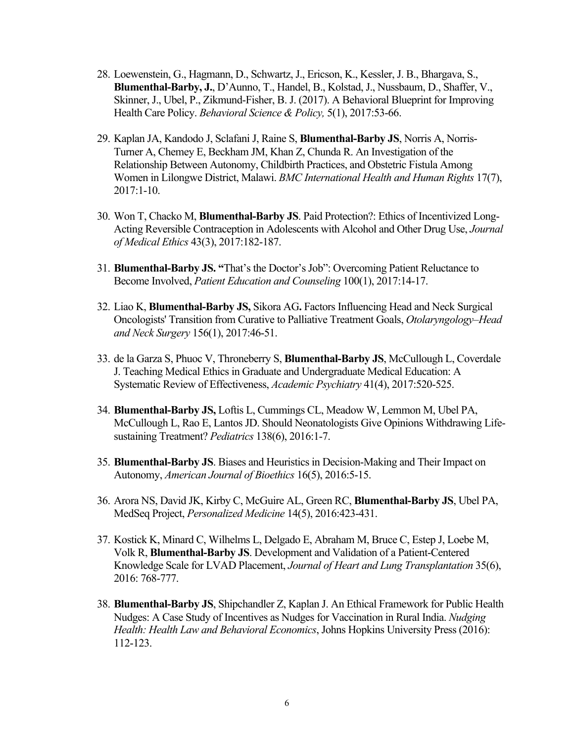- 28. Loewenstein, G., Hagmann, D., Schwartz, J., Ericson, K., Kessler, J. B., Bhargava, S., **Blumenthal-Barby, J.**, D'Aunno, T., Handel, B., Kolstad, J., Nussbaum, D., Shaffer, V., Skinner, J., Ubel, P., Zikmund-Fisher, B. J. (2017). A Behavioral Blueprint for Improving Health Care Policy. *Behavioral Science & Policy,* 5(1), 2017:53-66.
- 29. Kaplan JA, Kandodo J, Sclafani J, Raine S, **Blumenthal-Barby JS**, Norris A, Norris-Turner A, Chemey E, Beckham JM, Khan Z, Chunda R. An Investigation of the Relationship Between Autonomy, Childbirth Practices, and Obstetric Fistula Among Women in Lilongwe District, Malawi. *BMC International Health and Human Rights* 17(7), 2017:1-10.
- 30. Won T, Chacko M, **Blumenthal-Barby JS**. Paid Protection?: Ethics of Incentivized Long-Acting Reversible Contraception in Adolescents with Alcohol and Other Drug Use, *Journal of Medical Ethics* 43(3), 2017:182-187.
- 31. **Blumenthal-Barby JS. "**That's the Doctor's Job": Overcoming Patient Reluctance to Become Involved, *Patient Education and Counseling* 100(1), 2017:14-17.
- 32. Liao K, **Blumenthal-Barby JS,** Sikora AG**.** Factors Influencing Head and Neck Surgical Oncologists' Transition from Curative to Palliative Treatment Goals, *Otolaryngology–Head and Neck Surgery* 156(1), 2017:46-51.
- 33. de la Garza S, Phuoc V, Throneberry S, **Blumenthal-Barby JS**, McCullough L, Coverdale J. Teaching Medical Ethics in Graduate and Undergraduate Medical Education: A Systematic Review of Effectiveness, *Academic Psychiatry* 41(4), 2017:520-525.
- 34. **Blumenthal-Barby JS,** Loftis L, Cummings CL, Meadow W, Lemmon M, Ubel PA, McCullough L, Rao E, Lantos JD. Should Neonatologists Give Opinions Withdrawing Lifesustaining Treatment? *Pediatrics* 138(6), 2016:1-7.
- 35. **Blumenthal-Barby JS**. Biases and Heuristics in Decision-Making and Their Impact on Autonomy, *American Journal of Bioethics* 16(5), 2016:5-15.
- 36. Arora NS, David JK, Kirby C, McGuire AL, Green RC, **Blumenthal-Barby JS**, Ubel PA, MedSeq Project, *Personalized Medicine* 14(5), 2016:423-431.
- 37. Kostick K, Minard C, Wilhelms L, Delgado E, Abraham M, Bruce C, Estep J, Loebe M, Volk R, **Blumenthal-Barby JS**. Development and Validation of a Patient-Centered Knowledge Scale for LVAD Placement, *Journal of Heart and Lung Transplantation* 35(6), 2016: 768-777.
- 38. **Blumenthal-Barby JS**, Shipchandler Z, Kaplan J. An Ethical Framework for Public Health Nudges: A Case Study of Incentives as Nudges for Vaccination in Rural India. *Nudging Health: Health Law and Behavioral Economics*, Johns Hopkins University Press (2016): 112-123.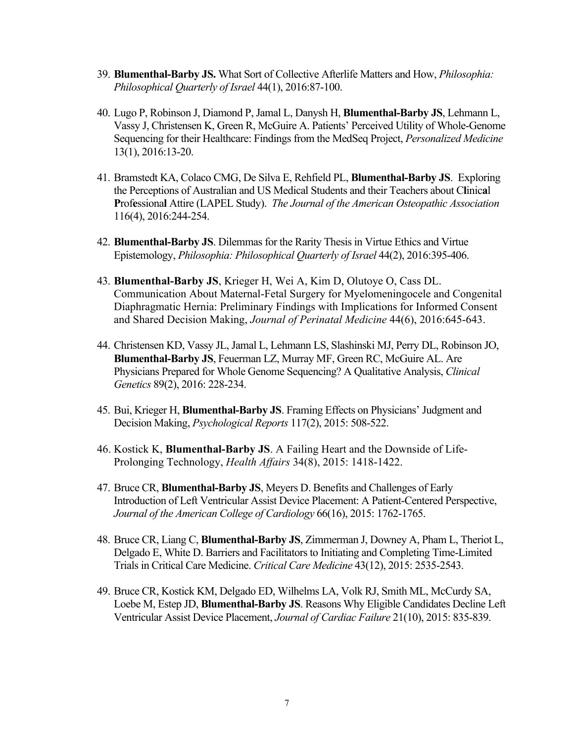- 39. **Blumenthal-Barby JS.** What Sort of Collective Afterlife Matters and How, *Philosophia: Philosophical Quarterly of Israel* 44(1), 2016:87-100.
- 40. Lugo P, Robinson J, Diamond P, Jamal L, Danysh H, **Blumenthal-Barby JS**, Lehmann L, Vassy J, Christensen K, Green R, McGuire A. Patients' Perceived Utility of Whole-Genome Sequencing for their Healthcare: Findings from the MedSeq Project, *Personalized Medicine*  13(1), 2016:13-20.
- 41. Bramstedt KA, Colaco CMG, De Silva E, Rehfield PL, **Blumenthal-Barby JS**. Exploring the Perceptions of Australian and US Medical Students and their Teachers about C**l**inic**a**l **P**rof**e**ssiona**l** Attire (LAPEL Study). *The Journal of the American Osteopathic Association*  116(4), 2016:244-254.
- 42. **Blumenthal-Barby JS**. Dilemmas for the Rarity Thesis in Virtue Ethics and Virtue Epistemology, *Philosophia: Philosophical Quarterly of Israel* 44(2), 2016:395-406.
- 43. **Blumenthal-Barby JS**, Krieger H, Wei A, Kim D, Olutoye O, Cass DL. Communication About Maternal-Fetal Surgery for Myelomeningocele and Congenital Diaphragmatic Hernia: Preliminary Findings with Implications for Informed Consent and Shared Decision Making, *Journal of Perinatal Medicine* 44(6), 2016:645-643.
- 44. Christensen KD, Vassy JL, Jamal L, Lehmann LS, Slashinski MJ, Perry DL, Robinson JO, **Blumenthal-Barby JS**, Feuerman LZ, Murray MF, Green RC, McGuire AL. Are Physicians Prepared for Whole Genome Sequencing? A Qualitative Analysis, *Clinical Genetics* 89(2), 2016: 228-234.
- 45. Bui, Krieger H, **Blumenthal-Barby JS**. Framing Effects on Physicians' Judgment and Decision Making, *Psychological Reports* 117(2), 2015: 508-522.
- 46. Kostick K, **Blumenthal-Barby JS**. A Failing Heart and the Downside of Life-Prolonging Technology, *Health Affairs* 34(8), 2015: 1418-1422.
- 47. Bruce CR, **Blumenthal-Barby JS**, Meyers D. Benefits and Challenges of Early Introduction of Left Ventricular Assist Device Placement: A Patient-Centered Perspective, *Journal of the American College of Cardiology* 66(16), 2015: 1762-1765.
- 48. Bruce CR, Liang C, **Blumenthal-Barby JS**, Zimmerman J, Downey A, Pham L, Theriot L, Delgado E, White D. Barriers and Facilitators to Initiating and Completing Time-Limited Trials in Critical Care Medicine. *Critical Care Medicine* 43(12), 2015: 2535-2543.
- 49. Bruce CR, Kostick KM, Delgado ED, Wilhelms LA, Volk RJ, Smith ML, McCurdy SA, Loebe M, Estep JD, **Blumenthal-Barby JS**. Reasons Why Eligible Candidates Decline Left Ventricular Assist Device Placement, *Journal of Cardiac Failure* 21(10), 2015: 835-839.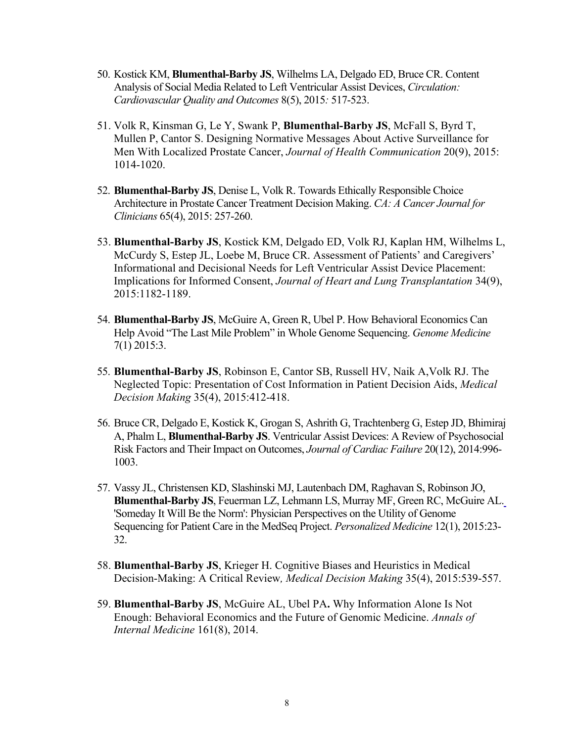- 50. Kostick KM, **Blumenthal-Barby JS**, Wilhelms LA, Delgado ED, Bruce CR. Content Analysis of Social Media Related to Left Ventricular Assist Devices, *Circulation: Cardiovascular Quality and Outcomes* 8(5), 2015*:* 517-523.
- 51. Volk R, Kinsman G, Le Y, Swank P, **Blumenthal-Barby JS**, McFall S, Byrd T, Mullen P, Cantor S. Designing Normative Messages About Active Surveillance for Men With Localized Prostate Cancer, *Journal of Health Communication* 20(9), 2015: 1014-1020.
- 52. **Blumenthal-Barby JS**, Denise L, Volk R. Towards Ethically Responsible Choice Architecture in Prostate Cancer Treatment Decision Making. *CA: A Cancer Journal for Clinicians* 65(4), 2015: 257-260.
- 53. **Blumenthal-Barby JS**, Kostick KM, Delgado ED, Volk RJ, Kaplan HM, Wilhelms L, McCurdy S, Estep JL, Loebe M, Bruce CR. Assessment of Patients' and Caregivers' Informational and Decisional Needs for Left Ventricular Assist Device Placement: Implications for Informed Consent, *Journal of Heart and Lung Transplantation* 34(9), 2015:1182-1189.
- 54. **Blumenthal-Barby JS**, McGuire A, Green R, Ubel P. How Behavioral Economics Can Help Avoid "The Last Mile Problem" in Whole Genome Sequencing. *Genome Medicine*  7(1) 2015:3.
- 55. **Blumenthal-Barby JS**, Robinson E, Cantor SB, Russell HV, Naik A,Volk RJ. The Neglected Topic: Presentation of Cost Information in Patient Decision Aids, *Medical Decision Making* 35(4), 2015:412-418.
- 56. Bruce CR, Delgado E, Kostick K, Grogan S, Ashrith G, Trachtenberg G, Estep JD, Bhimiraj A, Phalm L, **Blumenthal-Barby JS**. Ventricular Assist Devices: A Review of Psychosocial Risk Factors and Their Impact on Outcomes, *Journal of Cardiac Failure* 20(12), 2014:996- 1003.
- 57. Vassy JL, Christensen KD, Slashinski MJ, Lautenbach DM, Raghavan S, Robinson JO, **Blumenthal-Barby JS**, Feuerman LZ, Lehmann LS, Murray MF, Green RC, McGuire AL. 'Someday It Will Be the Norm': Physician Perspectives on the Utility of Genome Sequencing for Patient Care in the MedSeq Project. *Personalized Medicine* 12(1), 2015:23- 32.
- 58. **Blumenthal-Barby JS**, Krieger H. Cognitive Biases and Heuristics in Medical Decision-Making: A Critical Review*, Medical Decision Making* 35(4), 2015:539-557.
- 59. **Blumenthal-Barby JS**, McGuire AL, Ubel PA**.** Why Information Alone Is Not Enough: Behavioral Economics and the Future of Genomic Medicine. *Annals of Internal Medicine* 161(8), 2014.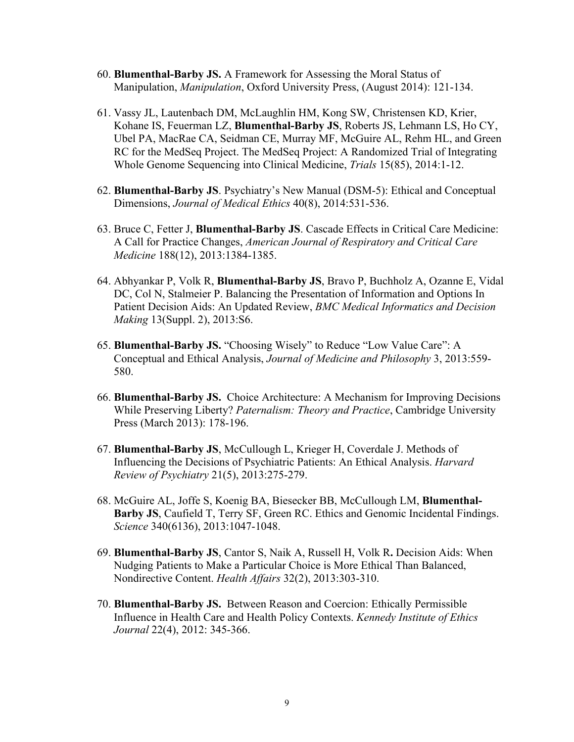- 60. **Blumenthal-Barby JS.** A Framework for Assessing the Moral Status of Manipulation, *Manipulation*, Oxford University Press, (August 2014): 121-134.
- 61. Vassy JL, Lautenbach DM, McLaughlin HM, Kong SW, Christensen KD, Krier, Kohane IS, Feuerman LZ, **Blumenthal-Barby JS**, Roberts JS, Lehmann LS, Ho CY, Ubel PA, MacRae CA, Seidman CE, Murray MF, McGuire AL, Rehm HL, and Green RC for the MedSeq Project. The MedSeq Project: A Randomized Trial of Integrating Whole Genome Sequencing into Clinical Medicine, *Trials* 15(85), 2014:1-12.
- 62. **Blumenthal-Barby JS**. Psychiatry's New Manual (DSM-5): Ethical and Conceptual Dimensions, *Journal of Medical Ethics* 40(8), 2014:531-536.
- 63. Bruce C, Fetter J, **Blumenthal-Barby JS**. Cascade Effects in Critical Care Medicine: A Call for Practice Changes, *American Journal of Respiratory and Critical Care Medicine* 188(12), 2013:1384-1385.
- 64. Abhyankar P, Volk R, **Blumenthal-Barby JS**, Bravo P, Buchholz A, Ozanne E, Vidal DC, Col N, Stalmeier P. Balancing the Presentation of Information and Options In Patient Decision Aids: An Updated Review, *BMC Medical Informatics and Decision Making* 13(Suppl. 2), 2013:S6.
- 65. **Blumenthal-Barby JS.** "Choosing Wisely" to Reduce "Low Value Care": A Conceptual and Ethical Analysis, *Journal of Medicine and Philosophy* 3, 2013:559- 580.
- 66. **Blumenthal-Barby JS.** Choice Architecture: A Mechanism for Improving Decisions While Preserving Liberty? *Paternalism: Theory and Practice*, Cambridge University Press (March 2013): 178-196.
- 67. **Blumenthal-Barby JS**, McCullough L, Krieger H, Coverdale J. Methods of Influencing the Decisions of Psychiatric Patients: An Ethical Analysis. *Harvard Review of Psychiatry* 21(5), 2013:275-279.
- 68. McGuire AL, Joffe S, Koenig BA, Biesecker BB, McCullough LM, **Blumenthal-Barby JS**, Caufield T, Terry SF, Green RC. Ethics and Genomic Incidental Findings. *Science* 340(6136), 2013:1047-1048.
- 69. **Blumenthal-Barby JS**, Cantor S, Naik A, Russell H, Volk R**.** Decision Aids: When Nudging Patients to Make a Particular Choice is More Ethical Than Balanced, Nondirective Content. *Health Affairs* 32(2), 2013:303-310.
- 70. **Blumenthal-Barby JS.** Between Reason and Coercion: Ethically Permissible Influence in Health Care and Health Policy Contexts. *Kennedy Institute of Ethics Journal* 22(4), 2012: 345-366.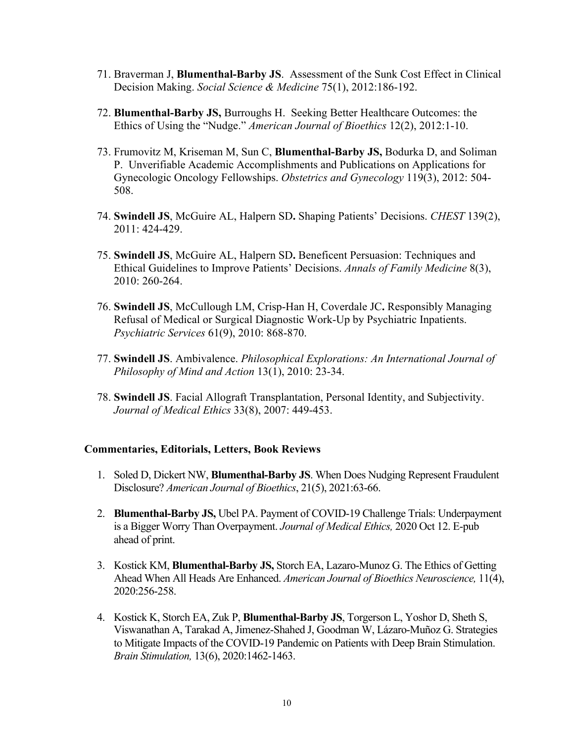- 71. Braverman J, **Blumenthal-Barby JS**. Assessment of the Sunk Cost Effect in Clinical Decision Making. *Social Science & Medicine* 75(1), 2012:186-192.
- 72. **Blumenthal-Barby JS,** Burroughs H. Seeking Better Healthcare Outcomes: the Ethics of Using the "Nudge." *American Journal of Bioethics* 12(2), 2012:1-10.
- 73. Frumovitz M, Kriseman M, Sun C, **Blumenthal-Barby JS,** Bodurka D, and Soliman P. Unverifiable Academic Accomplishments and Publications on Applications for Gynecologic Oncology Fellowships. *Obstetrics and Gynecology* 119(3), 2012: 504- 508.
- 74. **Swindell JS**, McGuire AL, Halpern SD**.** Shaping Patients' Decisions. *CHEST* 139(2), 2011: 424-429.
- 75. **Swindell JS**, McGuire AL, Halpern SD**.** Beneficent Persuasion: Techniques and Ethical Guidelines to Improve Patients' Decisions. *Annals of Family Medicine* 8(3), 2010: 260-264.
- 76. **Swindell JS**, McCullough LM, Crisp-Han H, Coverdale JC**.** Responsibly Managing Refusal of Medical or Surgical Diagnostic Work-Up by Psychiatric Inpatients. *Psychiatric Services* 61(9), 2010: 868-870.
- 77. **Swindell JS**. Ambivalence. *Philosophical Explorations: An International Journal of Philosophy of Mind and Action* 13(1), 2010: 23-34.
- 78. **Swindell JS**. Facial Allograft Transplantation, Personal Identity, and Subjectivity. *Journal of Medical Ethics* 33(8), 2007: 449-453.

## **Commentaries, Editorials, Letters, Book Reviews**

- 1. Soled D, Dickert NW, **Blumenthal-Barby JS**. When Does Nudging Represent Fraudulent Disclosure? *American Journal of Bioethics*, 21(5), 2021:63-66.
- 2. **Blumenthal-Barby JS,** Ubel PA. Payment of COVID-19 Challenge Trials: Underpayment is a Bigger Worry Than Overpayment. *Journal of Medical Ethics,* 2020 Oct 12. E-pub ahead of print.
- 3. Kostick KM, **Blumenthal-Barby JS,** Storch EA, Lazaro-Munoz G. The Ethics of Getting Ahead When All Heads Are Enhanced. *American Journal of Bioethics Neuroscience,* 11(4), 2020:256-258.
- 4. Kostick K, Storch EA, Zuk P, **Blumenthal-Barby JS**, Torgerson L, Yoshor D, Sheth S, Viswanathan A, Tarakad A, Jimenez-Shahed J, Goodman W, Lázaro-Muñoz G. Strategies to Mitigate Impacts of the COVID-19 Pandemic on Patients with Deep Brain Stimulation. *Brain Stimulation,* 13(6), 2020:1462-1463.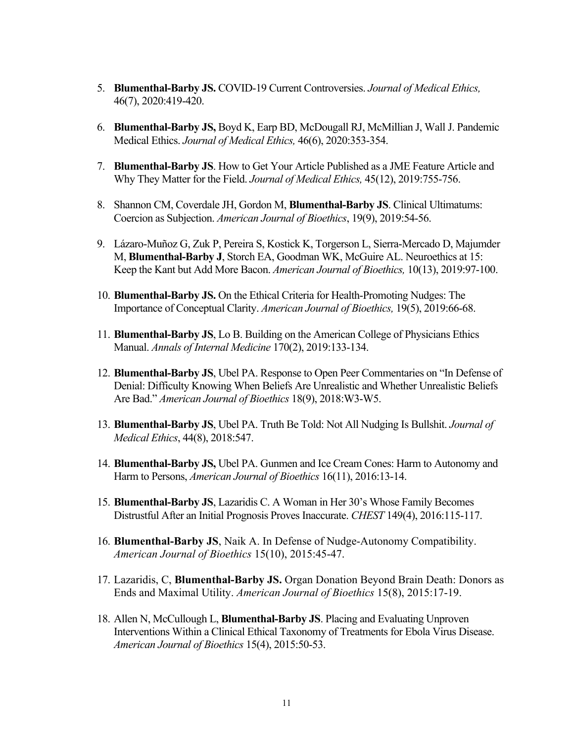- 5. **Blumenthal-Barby JS.** COVID-19 Current Controversies. *Journal of Medical Ethics,*  46(7), 2020:419-420.
- 6. **Blumenthal-Barby JS,** Boyd K, Earp BD, McDougall RJ, McMillian J, Wall J. Pandemic Medical Ethics. *Journal of Medical Ethics,* 46(6), 2020:353-354.
- 7. **Blumenthal-Barby JS**. How to Get Your Article Published as a JME Feature Article and Why They Matter for the Field. *Journal of Medical Ethics,* 45(12), 2019:755-756.
- 8. Shannon CM, Coverdale JH, Gordon M, **Blumenthal-Barby JS**. Clinical Ultimatums: Coercion as Subjection. *American Journal of Bioethics*, 19(9), 2019:54-56.
- 9. Lázaro-Muñoz G, Zuk P, Pereira S, Kostick K, Torgerson L, Sierra-Mercado D, Majumder M, **Blumenthal-Barby J**, Storch EA, Goodman WK, McGuire AL. Neuroethics at 15: Keep the Kant but Add More Bacon. *American Journal of Bioethics,* 10(13), 2019:97-100.
- 10. **Blumenthal-Barby JS.** On the Ethical Criteria for Health-Promoting Nudges: The Importance of Conceptual Clarity. *American Journal of Bioethics,* 19(5), 2019:66-68.
- 11. **Blumenthal-Barby JS**, Lo B. Building on the American College of Physicians Ethics Manual. *Annals of Internal Medicine* 170(2), 2019:133-134.
- 12. **Blumenthal-Barby JS**, Ubel PA. Response to Open Peer Commentaries on "In Defense of Denial: Difficulty Knowing When Beliefs Are Unrealistic and Whether Unrealistic Beliefs Are Bad." *American Journal of Bioethics* 18(9), 2018:W3-W5.
- 13. **Blumenthal-Barby JS**, Ubel PA. Truth Be Told: Not All Nudging Is Bullshit. *Journal of Medical Ethics*, 44(8), 2018:547.
- 14. **Blumenthal-Barby JS,** Ubel PA. Gunmen and Ice Cream Cones: Harm to Autonomy and Harm to Persons, *American Journal of Bioethics* 16(11), 2016:13-14.
- 15. **Blumenthal-Barby JS**, Lazaridis C. A Woman in Her 30's Whose Family Becomes Distrustful After an Initial Prognosis Proves Inaccurate. *CHEST* 149(4), 2016:115-117.
- 16. **Blumenthal-Barby JS**, Naik A. In Defense of Nudge-Autonomy Compatibility. *American Journal of Bioethics* 15(10), 2015:45-47.
- 17. Lazaridis, C, **Blumenthal-Barby JS.** Organ Donation Beyond Brain Death: Donors as Ends and Maximal Utility. *American Journal of Bioethics* 15(8), 2015:17-19.
- 18. Allen N, McCullough L, **Blumenthal-Barby JS**. Placing and Evaluating Unproven Interventions Within a Clinical Ethical Taxonomy of Treatments for Ebola Virus Disease. *American Journal of Bioethics* 15(4), 2015:50-53.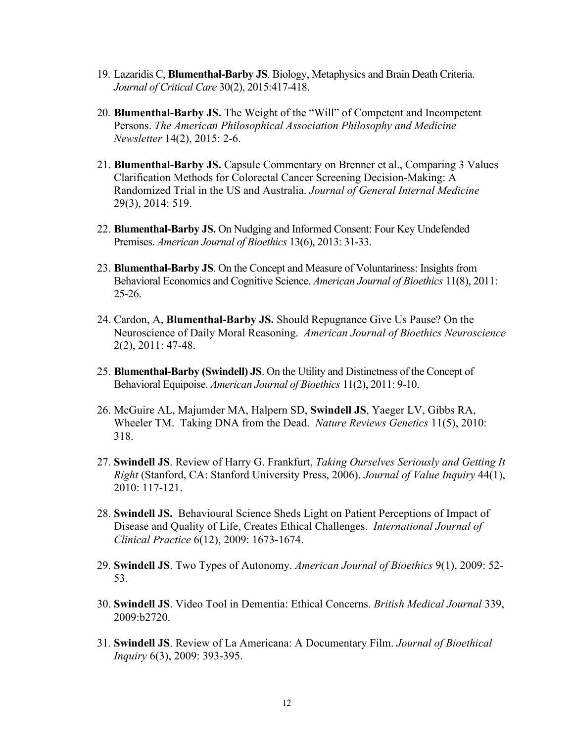- 19. Lazaridis C, **Blumenthal-Barby JS**. Biology, Metaphysics and Brain Death Criteria. *Journal of Critical Care* 30(2), 2015:417-418.
- 20. **Blumenthal-Barby JS.** The Weight of the "Will" of Competent and Incompetent Persons. *The American Philosophical Association Philosophy and Medicine Newsletter* 14(2), 2015: 2-6.
- 21. **Blumenthal-Barby JS.** Capsule Commentary on Brenner et al., Comparing 3 Values Clarification Methods for Colorectal Cancer Screening Decision-Making: A Randomized Trial in the US and Australia. *Journal of General Internal Medicine*  29(3), 2014: 519.
- 22. **Blumenthal-Barby JS.** On Nudging and Informed Consent: Four Key Undefended Premises. *American Journal of Bioethics* 13(6), 2013: 31-33.
- 23. **Blumenthal-Barby JS**. On the Concept and Measure of Voluntariness: Insights from Behavioral Economics and Cognitive Science. *American Journal of Bioethics* 11(8), 2011: 25-26.
- 24. Cardon, A, **Blumenthal-Barby JS.** Should Repugnance Give Us Pause? On the Neuroscience of Daily Moral Reasoning. *American Journal of Bioethics Neuroscience*  2(2), 2011: 47-48.
- Behavioral Equipoise. American Journal of Bioethics 11(2), 2011: 9-10. 25. **Blumenthal-Barby (Swindell) JS**. On the Utility and Distinctness of the Concept of
- 26. McGuire AL, Majumder MA, Halpern SD, **Swindell JS**, Yaeger LV, Gibbs RA, Wheeler TM. Taking DNA from the Dead. *Nature Reviews Genetics* 11(5), 2010: 318.
- 27. **Swindell JS**. Review of Harry G. Frankfurt, *Taking Ourselves Seriously and Getting It Right* (Stanford, CA: Stanford University Press, 2006). *Journal of Value Inquiry* 44(1), 2010: 117-121.
- 28. **Swindell JS.** Behavioural Science Sheds Light on Patient Perceptions of Impact of Disease and Quality of Life, Creates Ethical Challenges. *International Journal of Clinical Practice* 6(12), 2009: 1673-1674.
- 29. **Swindell JS**. Two Types of Autonomy. *American Journal of Bioethics* 9(1), 2009: 52- 53.
- 30. **Swindell JS**. Video Tool in Dementia: Ethical Concerns. *British Medical Journal* 339, 2009:b2720.
- 31. **Swindell JS**. Review of La Americana: A Documentary Film. *Journal of Bioethical Inquiry* 6(3), 2009: 393-395.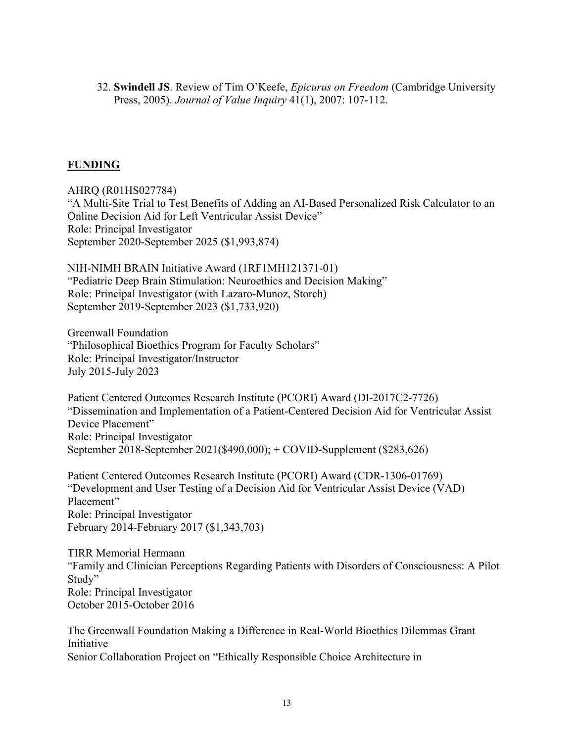32. **Swindell JS**. Review of Tim O'Keefe, *Epicurus on Freedom* (Cambridge University Press, 2005). *Journal of Value Inquiry* 41(1), 2007: 107-112.

## **FUNDING**

AHRQ (R01HS027784) "A Multi-Site Trial to Test Benefits of Adding an AI-Based Personalized Risk Calculator to an Online Decision Aid for Left Ventricular Assist Device" Role: Principal Investigator September 2020-September 2025 (\$1,993,874)

NIH-NIMH BRAIN Initiative Award (1RF1MH121371-01) "Pediatric Deep Brain Stimulation: Neuroethics and Decision Making" Role: Principal Investigator (with Lazaro-Munoz, Storch) September 2019-September 2023 (\$1,733,920)

Greenwall Foundation "Philosophical Bioethics Program for Faculty Scholars" Role: Principal Investigator/Instructor July 2015-July 2023

Patient Centered Outcomes Research Institute (PCORI) Award (DI-2017C2-7726) "Dissemination and Implementation of a Patient-Centered Decision Aid for Ventricular Assist Device Placement" Role: Principal Investigator September 2018-September 2021(\$490,000); + COVID-Supplement (\$283,626)

Patient Centered Outcomes Research Institute (PCORI) Award (CDR-1306-01769) "Development and User Testing of a Decision Aid for Ventricular Assist Device (VAD) Placement" Role: Principal Investigator February 2014-February 2017 (\$1,343,703)

TIRR Memorial Hermann "Family and Clinician Perceptions Regarding Patients with Disorders of Consciousness: A Pilot Study" Role: Principal Investigator October 2015-October 2016

The Greenwall Foundation Making a Difference in Real-World Bioethics Dilemmas Grant Initiative Senior Collaboration Project on "Ethically Responsible Choice Architecture in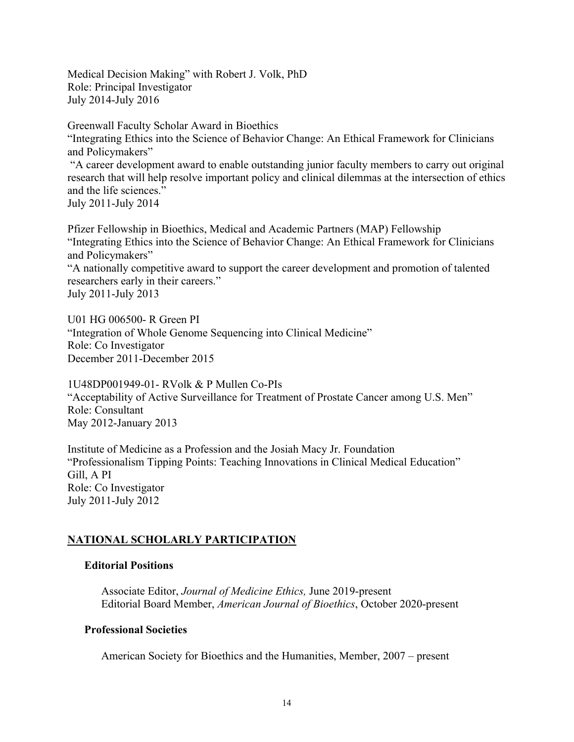Medical Decision Making" with Robert J. Volk, PhD Role: Principal Investigator July 2014-July 2016

Greenwall Faculty Scholar Award in Bioethics "Integrating Ethics into the Science of Behavior Change: An Ethical Framework for Clinicians and Policymakers" "A career development award to enable outstanding junior faculty members to carry out original research that will help resolve important policy and clinical dilemmas at the intersection of ethics and the life sciences." July 2011-July 2014

Pfizer Fellowship in Bioethics, Medical and Academic Partners (MAP) Fellowship "Integrating Ethics into the Science of Behavior Change: An Ethical Framework for Clinicians and Policymakers" "A nationally competitive award to support the career development and promotion of talented

researchers early in their careers." July 2011-July 2013

U01 HG 006500- R Green PI "Integration of Whole Genome Sequencing into Clinical Medicine" Role: Co Investigator December 2011-December 2015

1U48DP001949-01- RVolk & P Mullen Co-PIs "Acceptability of Active Surveillance for Treatment of Prostate Cancer among U.S. Men" Role: Consultant May 2012-January 2013

Institute of Medicine as a Profession and the Josiah Macy Jr. Foundation "Professionalism Tipping Points: Teaching Innovations in Clinical Medical Education" Gill, A PI Role: Co Investigator July 2011-July 2012

# **NATIONAL SCHOLARLY PARTICIPATION**

# **Editorial Positions**

Associate Editor, *Journal of Medicine Ethics,* June 2019-present Editorial Board Member, *American Journal of Bioethics*, October 2020-present

# **Professional Societies**

American Society for Bioethics and the Humanities, Member, 2007 – present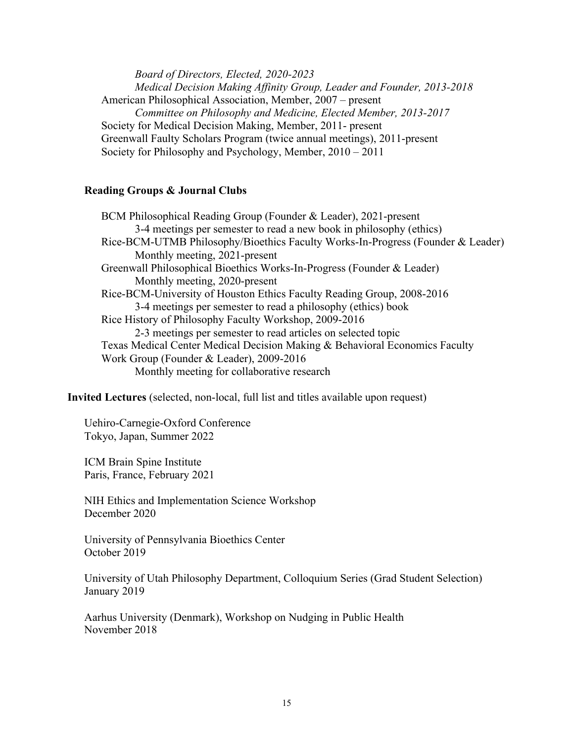*Board of Directors, Elected, 2020-2023 Medical Decision Making Affinity Group, Leader and Founder, 2013-2018*  American Philosophical Association, Member, 2007 – present *Committee on Philosophy and Medicine, Elected Member, 2013-2017*  Society for Medical Decision Making, Member, 2011- present Greenwall Faulty Scholars Program (twice annual meetings), 2011-present Society for Philosophy and Psychology, Member, 2010 – 2011

### **Reading Groups & Journal Clubs**

BCM Philosophical Reading Group (Founder & Leader), 2021-present 3-4 meetings per semester to read a new book in philosophy (ethics) Rice-BCM-UTMB Philosophy/Bioethics Faculty Works-In-Progress (Founder & Leader) Monthly meeting, 2021-present Greenwall Philosophical Bioethics Works-In-Progress (Founder & Leader) Monthly meeting, 2020-present Rice-BCM-University of Houston Ethics Faculty Reading Group, 2008-2016 3-4 meetings per semester to read a philosophy (ethics) book Rice History of Philosophy Faculty Workshop, 2009-2016 2-3 meetings per semester to read articles on selected topic Texas Medical Center Medical Decision Making & Behavioral Economics Faculty Work Group (Founder & Leader), 2009-2016 Monthly meeting for collaborative research

**Invited Lectures** (selected, non-local, full list and titles available upon request)

Uehiro-Carnegie-Oxford Conference Tokyo, Japan, Summer 2022

ICM Brain Spine Institute Paris, France, February 2021

NIH Ethics and Implementation Science Workshop December 2020

University of Pennsylvania Bioethics Center October 2019

University of Utah Philosophy Department, Colloquium Series (Grad Student Selection) January 2019

Aarhus University (Denmark), Workshop on Nudging in Public Health November 2018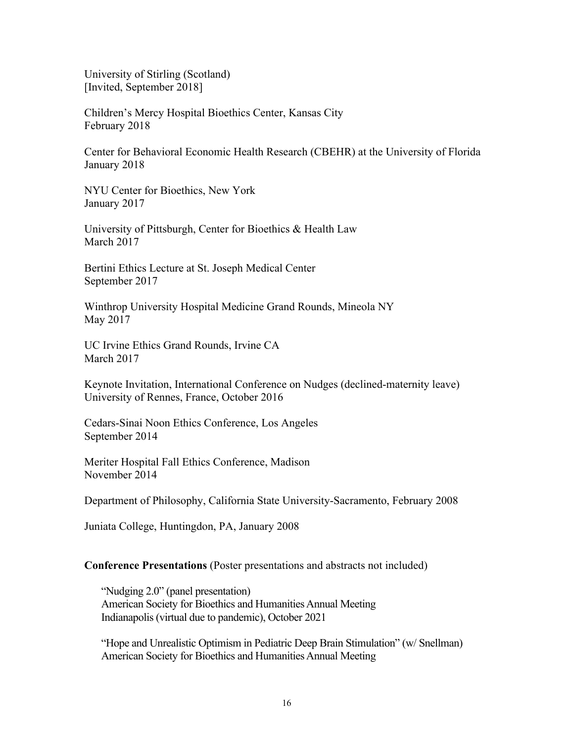University of Stirling (Scotland) [Invited, September 2018]

Children's Mercy Hospital Bioethics Center, Kansas City February 2018

Center for Behavioral Economic Health Research (CBEHR) at the University of Florida January 2018

NYU Center for Bioethics, New York January 2017

University of Pittsburgh, Center for Bioethics & Health Law March 2017

Bertini Ethics Lecture at St. Joseph Medical Center September 2017

Winthrop University Hospital Medicine Grand Rounds, Mineola NY May 2017

UC Irvine Ethics Grand Rounds, Irvine CA March 2017

Keynote Invitation, International Conference on Nudges (declined-maternity leave) University of Rennes, France, October 2016

Cedars-Sinai Noon Ethics Conference, Los Angeles September 2014

Meriter Hospital Fall Ethics Conference, Madison November 2014

Department of Philosophy, California State University-Sacramento, February 2008

Juniata College, Huntingdon, PA, January 2008

## **Conference Presentations** (Poster presentations and abstracts not included)

"Nudging 2.0" (panel presentation) American Society for Bioethics and Humanities Annual Meeting Indianapolis (virtual due to pandemic), October 2021

"Hope and Unrealistic Optimism in Pediatric Deep Brain Stimulation" (w/ Snellman) American Society for Bioethics and Humanities Annual Meeting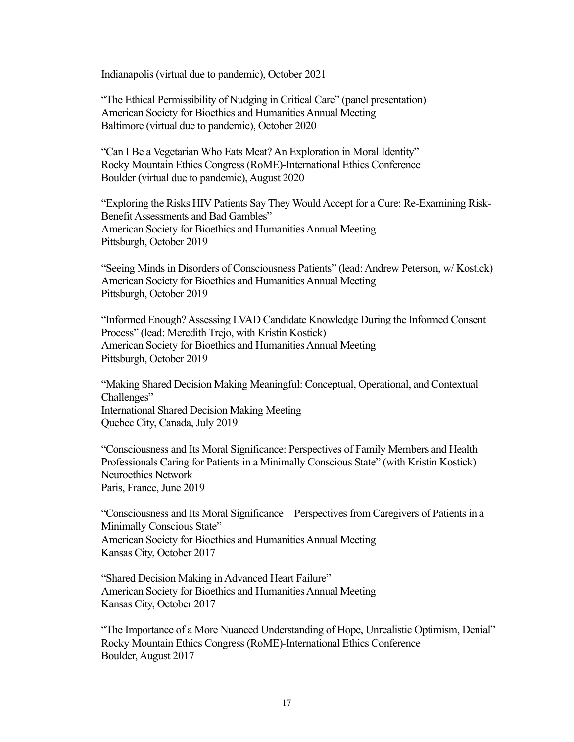Indianapolis (virtual due to pandemic), October 2021

"The Ethical Permissibility of Nudging in Critical Care" (panel presentation) American Society for Bioethics and Humanities Annual Meeting Baltimore (virtual due to pandemic), October 2020

"Can I Be a Vegetarian Who Eats Meat? An Exploration in Moral Identity" Rocky Mountain Ethics Congress (RoME)-International Ethics Conference Boulder (virtual due to pandemic), August 2020

"Exploring the Risks HIV Patients Say They Would Accept for a Cure: Re-Examining Risk-Benefit Assessments and Bad Gambles" American Society for Bioethics and Humanities Annual Meeting Pittsburgh, October 2019

"Seeing Minds in Disorders of Consciousness Patients" (lead: Andrew Peterson, w/ Kostick) American Society for Bioethics and Humanities Annual Meeting Pittsburgh, October 2019

"Informed Enough? Assessing LVAD Candidate Knowledge During the Informed Consent Process" (lead: Meredith Trejo, with Kristin Kostick) American Society for Bioethics and Humanities Annual Meeting Pittsburgh, October 2019

"Making Shared Decision Making Meaningful: Conceptual, Operational, and Contextual Challenges" International Shared Decision Making Meeting Quebec City, Canada, July 2019

"Consciousness and Its Moral Significance: Perspectives of Family Members and Health Professionals Caring for Patients in a Minimally Conscious State" (with Kristin Kostick) Neuroethics Network Paris, France, June 2019

"Consciousness and Its Moral Significance—Perspectives from Caregivers of Patients in a Minimally Conscious State" American Society for Bioethics and Humanities Annual Meeting Kansas City, October 2017

 Kansas City, October 2017 "Shared Decision Making in Advanced Heart Failure" American Society for Bioethics and Humanities Annual Meeting

"The Importance of a More Nuanced Understanding of Hope, Unrealistic Optimism, Denial" Rocky Mountain Ethics Congress (RoME)-International Ethics Conference Boulder, August 2017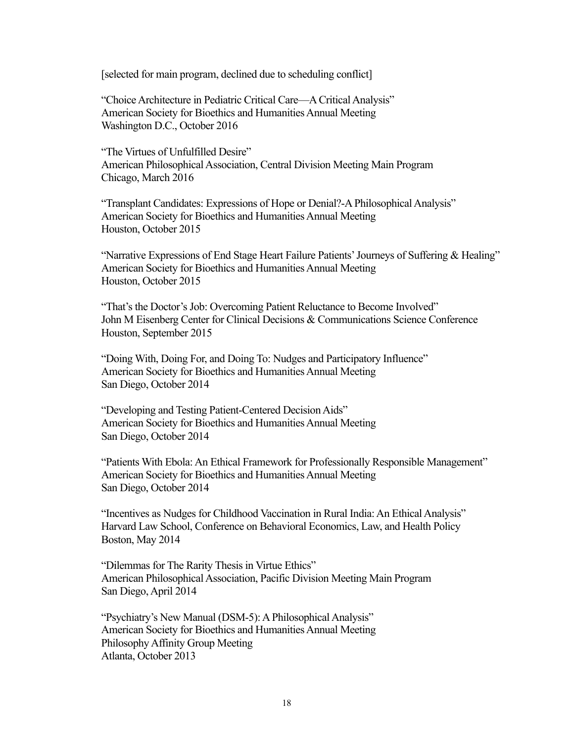[selected for main program, declined due to scheduling conflict]

"Choice Architecture in Pediatric Critical Care—A Critical Analysis" American Society for Bioethics and Humanities Annual Meeting Washington D.C., October 2016

"The Virtues of Unfulfilled Desire" American Philosophical Association, Central Division Meeting Main Program Chicago, March 2016

"Transplant Candidates: Expressions of Hope or Denial?-A Philosophical Analysis" American Society for Bioethics and Humanities Annual Meeting Houston, October 2015

"Narrative Expressions of End Stage Heart Failure Patients' Journeys of Suffering & Healing" American Society for Bioethics and Humanities Annual Meeting Houston, October 2015

"That's the Doctor's Job: Overcoming Patient Reluctance to Become Involved" John M Eisenberg Center for Clinical Decisions & Communications Science Conference Houston, September 2015

 "Doing With, Doing For, and Doing To: Nudges and Participatory Influence" American Society for Bioethics and Humanities Annual Meeting San Diego, October 2014

"Developing and Testing Patient-Centered Decision Aids" American Society for Bioethics and Humanities Annual Meeting San Diego, October 2014

"Patients With Ebola: An Ethical Framework for Professionally Responsible Management" American Society for Bioethics and Humanities Annual Meeting San Diego, October 2014

"Incentives as Nudges for Childhood Vaccination in Rural India: An Ethical Analysis" Harvard Law School, Conference on Behavioral Economics, Law, and Health Policy Boston, May 2014

"Dilemmas for The Rarity Thesis in Virtue Ethics" American Philosophical Association, Pacific Division Meeting Main Program San Diego, April 2014

"Psychiatry's New Manual (DSM-5): A Philosophical Analysis" American Society for Bioethics and Humanities Annual Meeting Philosophy Affinity Group Meeting Atlanta, October 2013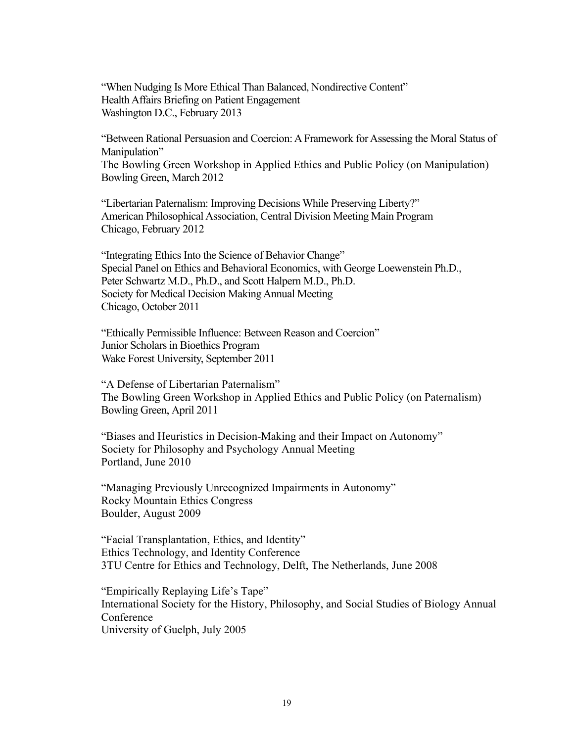Washington D.C., February 2013 "When Nudging Is More Ethical Than Balanced, Nondirective Content" Health Affairs Briefing on Patient Engagement

"Between Rational Persuasion and Coercion: A Framework for Assessing the Moral Status of Manipulation" The Bowling Green Workshop in Applied Ethics and Public Policy (on Manipulation)

Bowling Green, March 2012

"Libertarian Paternalism: Improving Decisions While Preserving Liberty?" American Philosophical Association, Central Division Meeting Main Program Chicago, February 2012

"Integrating Ethics Into the Science of Behavior Change" Special Panel on Ethics and Behavioral Economics, with George Loewenstein Ph.D., Peter Schwartz M.D., Ph.D., and Scott Halpern M.D., Ph.D. Society for Medical Decision Making Annual Meeting Chicago, October 2011

"Ethically Permissible Influence: Between Reason and Coercion" Junior Scholars in Bioethics Program Wake Forest University, September 2011

"A Defense of Libertarian Paternalism" The Bowling Green Workshop in Applied Ethics and Public Policy (on Paternalism) Bowling Green, April 2011

"Biases and Heuristics in Decision-Making and their Impact on Autonomy" Society for Philosophy and Psychology Annual Meeting Portland, June 2010

"Managing Previously Unrecognized Impairments in Autonomy" Rocky Mountain Ethics Congress Boulder, August 2009

"Facial Transplantation, Ethics, and Identity" Ethics Technology, and Identity Conference 3TU Centre for Ethics and Technology, Delft, The Netherlands, June 2008

"Empirically Replaying Life's Tape" International Society for the History, Philosophy, and Social Studies of Biology Annual Conference University of Guelph, July 2005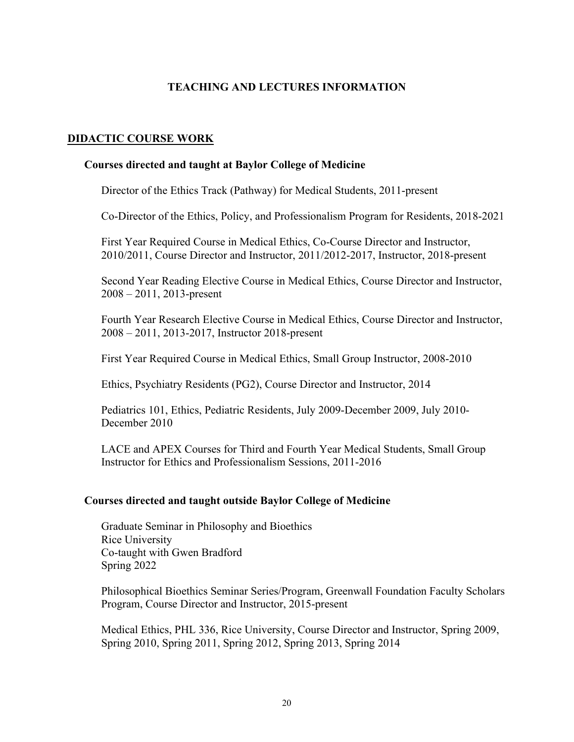## **TEACHING AND LECTURES INFORMATION**

## **DIDACTIC COURSE WORK**

### **Courses directed and taught at Baylor College of Medicine**

Director of the Ethics Track (Pathway) for Medical Students, 2011-present

Co-Director of the Ethics, Policy, and Professionalism Program for Residents, 2018-2021

First Year Required Course in Medical Ethics, Co-Course Director and Instructor, 2010/2011, Course Director and Instructor, 2011/2012-2017, Instructor, 2018-present

Second Year Reading Elective Course in Medical Ethics, Course Director and Instructor, 2008 – 2011, 2013-present

Fourth Year Research Elective Course in Medical Ethics, Course Director and Instructor, 2008 – 2011, 2013-2017, Instructor 2018-present

First Year Required Course in Medical Ethics, Small Group Instructor, 2008-2010

Ethics, Psychiatry Residents (PG2), Course Director and Instructor, 2014

Pediatrics 101, Ethics, Pediatric Residents, July 2009-December 2009, July 2010- December 2010

LACE and APEX Courses for Third and Fourth Year Medical Students, Small Group Instructor for Ethics and Professionalism Sessions, 2011-2016

### **Courses directed and taught outside Baylor College of Medicine**

Graduate Seminar in Philosophy and Bioethics Rice University Co-taught with Gwen Bradford Spring 2022

Philosophical Bioethics Seminar Series/Program, Greenwall Foundation Faculty Scholars Program, Course Director and Instructor, 2015-present

Medical Ethics, PHL 336, Rice University, Course Director and Instructor, Spring 2009, Spring 2010, Spring 2011, Spring 2012, Spring 2013, Spring 2014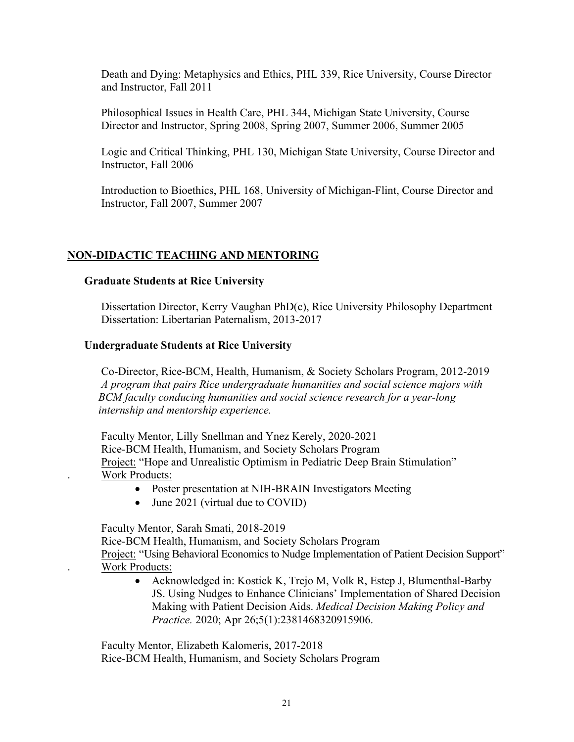Death and Dying: Metaphysics and Ethics, PHL 339, Rice University, Course Director and Instructor, Fall 2011

Philosophical Issues in Health Care, PHL 344, Michigan State University, Course Director and Instructor, Spring 2008, Spring 2007, Summer 2006, Summer 2005

Logic and Critical Thinking, PHL 130, Michigan State University, Course Director and Instructor, Fall 2006

Introduction to Bioethics, PHL 168, University of Michigan-Flint, Course Director and Instructor, Fall 2007, Summer 2007

## **NON-DIDACTIC TEACHING AND MENTORING**

### **Graduate Students at Rice University**

Dissertation Director, Kerry Vaughan PhD(c), Rice University Philosophy Department Dissertation: Libertarian Paternalism, 2013-2017

### **Undergraduate Students at Rice University**

Co-Director, Rice-BCM, Health, Humanism, & Society Scholars Program, 2012-2019 *A program that pairs Rice undergraduate humanities and social science majors with BCM faculty conducing humanities and social science research for a year-long internship and mentorship experience.* 

Faculty Mentor, Lilly Snellman and Ynez Kerely, 2020-2021 Rice-BCM Health, Humanism, and Society Scholars Program Project: "Hope and Unrealistic Optimism in Pediatric Deep Brain Stimulation" . Work Products:

- Poster presentation at NIH-BRAIN Investigators Meeting
- June 2021 (virtual due to COVID)

Faculty Mentor, Sarah Smati, 2018-2019

Rice-BCM Health, Humanism, and Society Scholars Program Project: "Using Behavioral Economics to Nudge Implementation of Patient Decision Support" . Work Products:

• Acknowledged in: Kostick K, Trejo M, Volk R, Estep J, Blumenthal-Barby JS. Using Nudges to Enhance Clinicians' Implementation of Shared Decision Making with Patient Decision Aids. *Medical Decision Making Policy and Practice.* 2020; Apr 26;5(1):2381468320915906.

Faculty Mentor, Elizabeth Kalomeris, 2017-2018 Rice-BCM Health, Humanism, and Society Scholars Program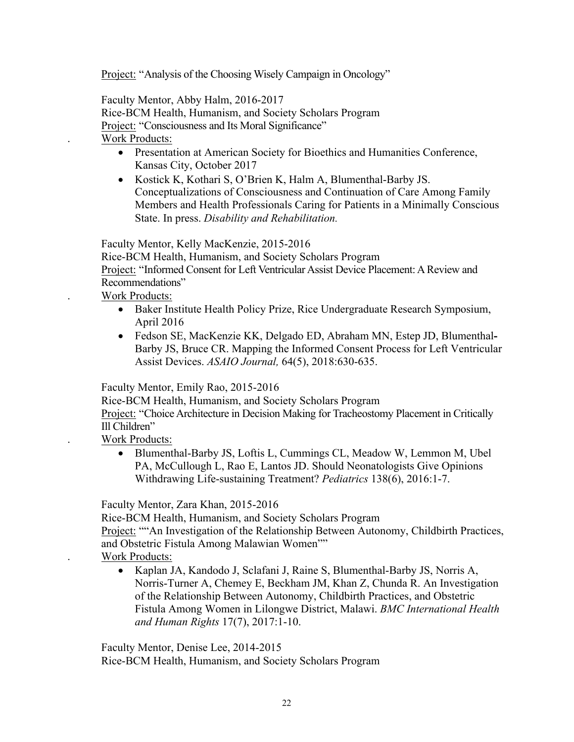Project: "Analysis of the Choosing Wisely Campaign in Oncology"

Faculty Mentor, Abby Halm, 2016-2017 Rice-BCM Health, Humanism, and Society Scholars Program Project: "Consciousness and Its Moral Significance"

. Work Products:

- Presentation at American Society for Bioethics and Humanities Conference, Kansas City, October 2017
- Kostick K, Kothari S, O'Brien K, Halm A, Blumenthal-Barby JS. Conceptualizations of Consciousness and Continuation of Care Among Family Members and Health Professionals Caring for Patients in a Minimally Conscious State. In press. *Disability and Rehabilitation.*

Faculty Mentor, Kelly MacKenzie, 2015-2016

Rice-BCM Health, Humanism, and Society Scholars Program

Project: "Informed Consent for Left Ventricular Assist Device Placement: A Review and Recommendations"

. Work Products:

- Baker Institute Health Policy Prize, Rice Undergraduate Research Symposium, April 2016
- Fedson SE, MacKenzie KK, Delgado ED, Abraham MN, Estep JD, Blumenthal**-**Barby JS, Bruce CR. Mapping the Informed Consent Process for Left Ventricular Assist Devices. *ASAIO Journal,* 64(5), 2018:630-635.

Faculty Mentor, Emily Rao, 2015-2016

Rice-BCM Health, Humanism, and Society Scholars Program

Project: "Choice Architecture in Decision Making for Tracheostomy Placement in Critically Ill Children"

. Work Products:

• Blumenthal-Barby JS, Loftis L, Cummings CL, Meadow W, Lemmon M, Ubel PA, McCullough L, Rao E, Lantos JD. Should Neonatologists Give Opinions Withdrawing Life-sustaining Treatment? *Pediatrics* 138(6), 2016:1-7.

Faculty Mentor, Zara Khan, 2015-2016

Rice-BCM Health, Humanism, and Society Scholars Program

Project: ""An Investigation of the Relationship Between Autonomy, Childbirth Practices, and Obstetric Fistula Among Malawian Women""

- . Work Products:
	- Kaplan JA, Kandodo J, Sclafani J, Raine S, Blumenthal-Barby JS, Norris A, Norris-Turner A, Chemey E, Beckham JM, Khan Z, Chunda R. An Investigation of the Relationship Between Autonomy, Childbirth Practices, and Obstetric Fistula Among Women in Lilongwe District, Malawi. *BMC International Health and Human Rights* 17(7), 2017:1-10.

Faculty Mentor, Denise Lee, 2014-2015 Rice-BCM Health, Humanism, and Society Scholars Program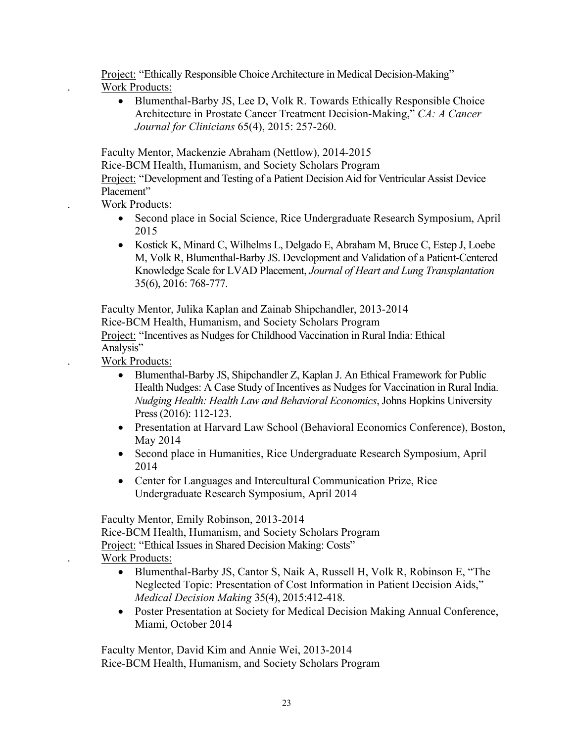Project: "Ethically Responsible Choice Architecture in Medical Decision-Making" Work Products:

• Blumenthal-Barby JS, Lee D, Volk R. Towards Ethically Responsible Choice Architecture in Prostate Cancer Treatment Decision-Making," *CA: A Cancer Journal for Clinicians* 65(4), 2015: 257-260.

Faculty Mentor, Mackenzie Abraham (Nettlow), 2014-2015

Rice-BCM Health, Humanism, and Society Scholars Program

Project: "Development and Testing of a Patient Decision Aid for Ventricular Assist Device Placement"

. Work Products:

- Second place in Social Science, Rice Undergraduate Research Symposium, April 2015
- Kostick K, Minard C, Wilhelms L, Delgado E, Abraham M, Bruce C, Estep J, Loebe M, Volk R, Blumenthal-Barby JS. Development and Validation of a Patient-Centered Knowledge Scale for LVAD Placement, *Journal of Heart and Lung Transplantation*  35(6), 2016: 768-777.

Project: "Incentives as Nudges for Childhood Vaccination in Rural India: Ethical Analysis" Faculty Mentor, Julika Kaplan and Zainab Shipchandler, 2013-2014 Rice-BCM Health, Humanism, and Society Scholars Program

. Work Products:

- Blumenthal-Barby JS, Shipchandler Z, Kaplan J. An Ethical Framework for Public Health Nudges: A Case Study of Incentives as Nudges for Vaccination in Rural India. *Nudging Health: Health Law and Behavioral Economics*, Johns Hopkins University Press (2016): 112-123.
- Presentation at Harvard Law School (Behavioral Economics Conference), Boston, May 2014
- Second place in Humanities, Rice Undergraduate Research Symposium, April 2014
- Center for Languages and Intercultural Communication Prize, Rice Undergraduate Research Symposium, April 2014

Faculty Mentor, Emily Robinson, 2013-2014

Rice-BCM Health, Humanism, and Society Scholars Program Project: "Ethical Issues in Shared Decision Making: Costs" . Work Products:

- Blumenthal-Barby JS, Cantor S, Naik A, Russell H, Volk R, Robinson E, "The Neglected Topic: Presentation of Cost Information in Patient Decision Aids," *Medical Decision Making* 35(4), 2015:412-418.
- Poster Presentation at Society for Medical Decision Making Annual Conference, Miami, October 2014

Faculty Mentor, David Kim and Annie Wei, 2013-2014 Rice-BCM Health, Humanism, and Society Scholars Program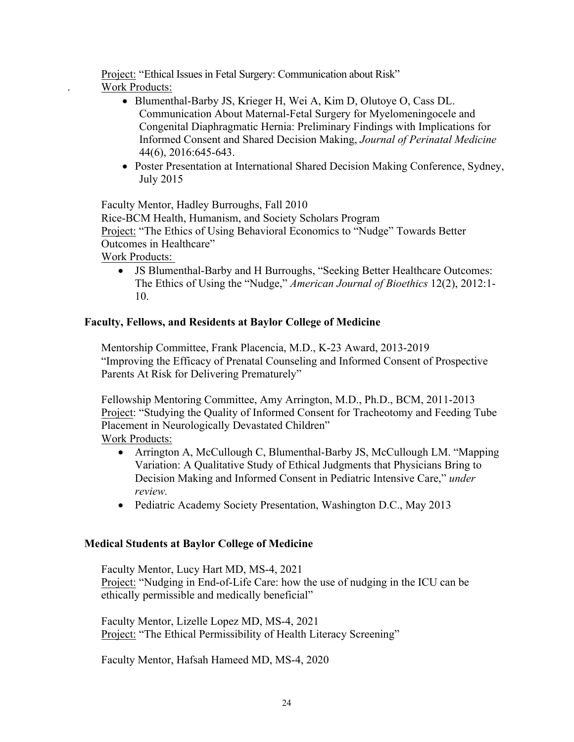Project: "Ethical Issues in Fetal Surgery: Communication about Risk"

- Work Products:
	- Blumenthal-Barby JS, Krieger H, Wei A, Kim D, Olutoye O, Cass DL. Communication About Maternal-Fetal Surgery for Myelomeningocele and Congenital Diaphragmatic Hernia: Preliminary Findings with Implications for Informed Consent and Shared Decision Making, *Journal of Perinatal Medicine*  44(6), 2016:645-643.
	- Poster Presentation at International Shared Decision Making Conference, Sydney, July 2015

Faculty Mentor, Hadley Burroughs, Fall 2010

Rice-BCM Health, Humanism, and Society Scholars Program Project: "The Ethics of Using Behavioral Economics to "Nudge" Towards Better Outcomes in Healthcare"

Work Products:

• JS Blumenthal-Barby and H Burroughs, "Seeking Better Healthcare Outcomes: The Ethics of Using the "Nudge," *American Journal of Bioethics* 12(2), 2012:1- 10.

# **Faculty, Fellows, and Residents at Baylor College of Medicine**

Mentorship Committee, Frank Placencia, M.D., K-23 Award, 2013-2019 "Improving the Efficacy of Prenatal Counseling and Informed Consent of Prospective Parents At Risk for Delivering Prematurely"

Fellowship Mentoring Committee, Amy Arrington, M.D., Ph.D., BCM, 2011-2013 Project: "Studying the Quality of Informed Consent for Tracheotomy and Feeding Tube Placement in Neurologically Devastated Children" Work Products:

- Arrington A, McCullough C, Blumenthal-Barby JS, McCullough LM. "Mapping" Variation: A Qualitative Study of Ethical Judgments that Physicians Bring to Decision Making and Informed Consent in Pediatric Intensive Care," *under review.*
- Pediatric Academy Society Presentation, Washington D.C., May 2013

# **Medical Students at Baylor College of Medicine**

Faculty Mentor, Lucy Hart MD, MS-4, 2021 Project: "Nudging in End-of-Life Care: how the use of nudging in the ICU can be ethically permissible and medically beneficial"

Faculty Mentor, Lizelle Lopez MD, MS-4, 2021 Project: "The Ethical Permissibility of Health Literacy Screening"

Faculty Mentor, Hafsah Hameed MD, MS-4, 2020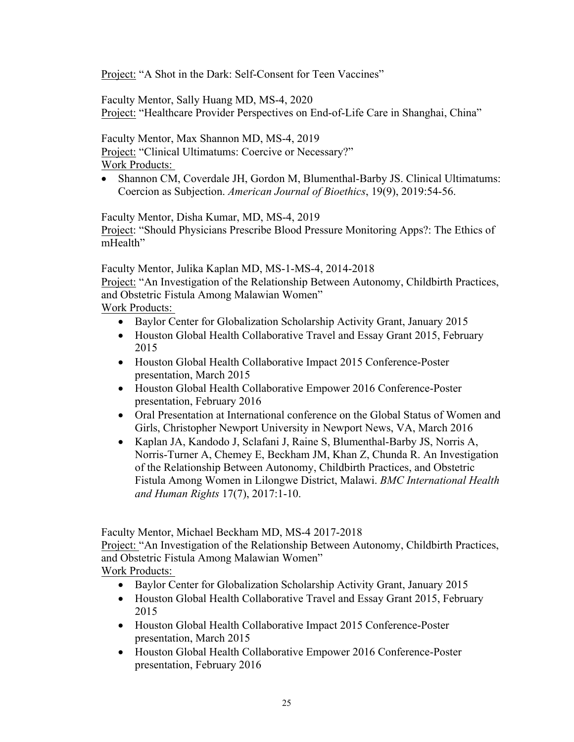Project: "A Shot in the Dark: Self-Consent for Teen Vaccines"

Faculty Mentor, Sally Huang MD, MS-4, 2020 Project: "Healthcare Provider Perspectives on End-of-Life Care in Shanghai, China"

Faculty Mentor, Max Shannon MD, MS-4, 2019 Project: "Clinical Ultimatums: Coercive or Necessary?" Work Products:

• Shannon CM, Coverdale JH, Gordon M, Blumenthal-Barby JS. Clinical Ultimatums: Coercion as Subjection. *American Journal of Bioethics*, 19(9), 2019:54-56.

Faculty Mentor, Disha Kumar, MD, MS-4, 2019 Project: "Should Physicians Prescribe Blood Pressure Monitoring Apps?: The Ethics of mHealth"

Faculty Mentor, Julika Kaplan MD, MS-1-MS-4, 2014-2018

Project: "An Investigation of the Relationship Between Autonomy, Childbirth Practices, and Obstetric Fistula Among Malawian Women"

Work Products:

- Baylor Center for Globalization Scholarship Activity Grant, January 2015
- Houston Global Health Collaborative Travel and Essay Grant 2015, February 2015
- Houston Global Health Collaborative Impact 2015 Conference-Poster presentation, March 2015
- Houston Global Health Collaborative Empower 2016 Conference-Poster presentation, February 2016
- Oral Presentation at International conference on the Global Status of Women and Girls, Christopher Newport University in Newport News, VA, March 2016
- Kaplan JA, Kandodo J, Sclafani J, Raine S, Blumenthal-Barby JS, Norris A, Norris-Turner A, Chemey E, Beckham JM, Khan Z, Chunda R. An Investigation of the Relationship Between Autonomy, Childbirth Practices, and Obstetric Fistula Among Women in Lilongwe District, Malawi. *BMC International Health and Human Rights* 17(7), 2017:1-10.

Faculty Mentor, Michael Beckham MD, MS-4 2017-2018

Project: "An Investigation of the Relationship Between Autonomy, Childbirth Practices, and Obstetric Fistula Among Malawian Women"

Work Products:

- Baylor Center for Globalization Scholarship Activity Grant, January 2015
- Houston Global Health Collaborative Travel and Essay Grant 2015, February 2015
- Houston Global Health Collaborative Impact 2015 Conference-Poster presentation, March 2015
- Houston Global Health Collaborative Empower 2016 Conference-Poster presentation, February 2016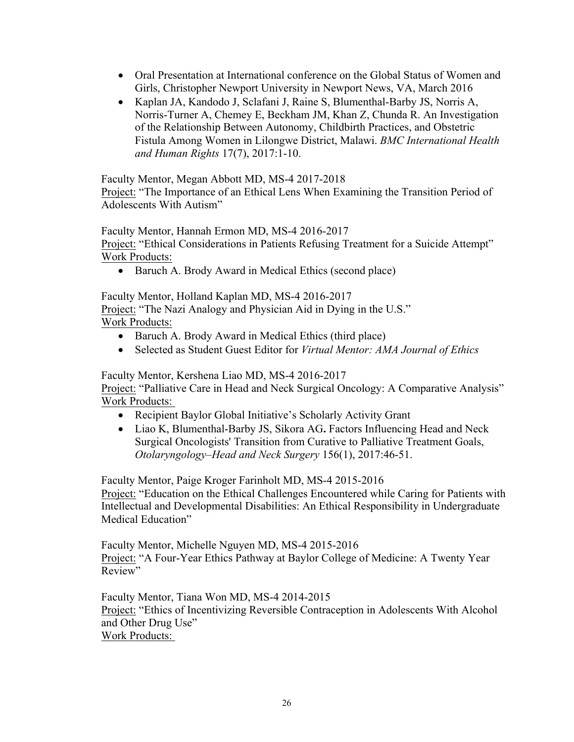- Oral Presentation at International conference on the Global Status of Women and Girls, Christopher Newport University in Newport News, VA, March 2016
- Kaplan JA, Kandodo J, Sclafani J, Raine S, Blumenthal-Barby JS, Norris A, Norris-Turner A, Chemey E, Beckham JM, Khan Z, Chunda R. An Investigation of the Relationship Between Autonomy, Childbirth Practices, and Obstetric Fistula Among Women in Lilongwe District, Malawi. *BMC International Health and Human Rights* 17(7), 2017:1-10.

Faculty Mentor, Megan Abbott MD, MS-4 2017-2018

Project: "The Importance of an Ethical Lens When Examining the Transition Period of Adolescents With Autism"

Faculty Mentor, Hannah Ermon MD, MS-4 2016-2017

Project: "Ethical Considerations in Patients Refusing Treatment for a Suicide Attempt" Work Products:

• Baruch A. Brody Award in Medical Ethics (second place)

Faculty Mentor, Holland Kaplan MD, MS-4 2016-2017

Project: "The Nazi Analogy and Physician Aid in Dying in the U.S." Work Products:

- Baruch A. Brody Award in Medical Ethics (third place)
- Selected as Student Guest Editor for *Virtual Mentor: AMA Journal of Ethics*

Faculty Mentor, Kershena Liao MD, MS-4 2016-2017 Project: "Palliative Care in Head and Neck Surgical Oncology: A Comparative Analysis" Work Products:

- Recipient Baylor Global Initiative's Scholarly Activity Grant
- Liao K, Blumenthal-Barby JS, Sikora AG**.** Factors Influencing Head and Neck Surgical Oncologists' Transition from Curative to Palliative Treatment Goals, *Otolaryngology–Head and Neck Surgery* 156(1), 2017:46-51.

Faculty Mentor, Paige Kroger Farinholt MD, MS-4 2015-2016 Project: "Education on the Ethical Challenges Encountered while Caring for Patients with Intellectual and Developmental Disabilities: An Ethical Responsibility in Undergraduate Medical Education"

Faculty Mentor, Michelle Nguyen MD, MS-4 2015-2016 Project: "A Four-Year Ethics Pathway at Baylor College of Medicine: A Twenty Year Review"

Faculty Mentor, Tiana Won MD, MS-4 2014-2015 Project: "Ethics of Incentivizing Reversible Contraception in Adolescents With Alcohol and Other Drug Use" Work Products: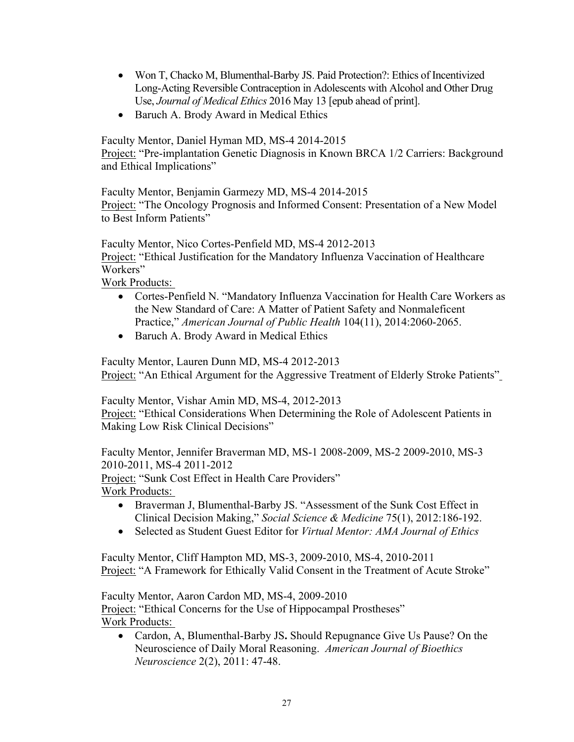- Won T, Chacko M, Blumenthal-Barby JS. Paid Protection?: Ethics of Incentivized Long-Acting Reversible Contraception in Adolescents with Alcohol and Other Drug Use, *Journal of Medical Ethics* 2016 May 13 [epub ahead of print].
- Baruch A. Brody Award in Medical Ethics

Faculty Mentor, Daniel Hyman MD, MS-4 2014-2015 Project: "Pre-implantation Genetic Diagnosis in Known BRCA 1/2 Carriers: Background and Ethical Implications"

Faculty Mentor, Benjamin Garmezy MD, MS-4 2014-2015 Project: "The Oncology Prognosis and Informed Consent: Presentation of a New Model to Best Inform Patients"

Faculty Mentor, Nico Cortes-Penfield MD, MS-4 2012-2013 Project: "Ethical Justification for the Mandatory Influenza Vaccination of Healthcare Workers"

Work Products:

- Cortes-Penfield N. "Mandatory Influenza Vaccination for Health Care Workers as the New Standard of Care: A Matter of Patient Safety and Nonmaleficent Practice," *American Journal of Public Health* 104(11), 2014:2060-2065.
- Baruch A. Brody Award in Medical Ethics

Faculty Mentor, Lauren Dunn MD, MS-4 2012-2013 Project: "An Ethical Argument for the Aggressive Treatment of Elderly Stroke Patients"

Faculty Mentor, Vishar Amin MD, MS-4, 2012-2013 Project: "Ethical Considerations When Determining the Role of Adolescent Patients in Making Low Risk Clinical Decisions"

Faculty Mentor, Jennifer Braverman MD, MS-1 2008-2009, MS-2 2009-2010, MS-3 2010-2011, MS-4 2011-2012 Project: "Sunk Cost Effect in Health Care Providers"

Work Products:

- Braverman J, Blumenthal-Barby JS. "Assessment of the Sunk Cost Effect in Clinical Decision Making," *Social Science & Medicine* 75(1), 2012:186-192.
- Selected as Student Guest Editor for *Virtual Mentor: AMA Journal of Ethics*

Faculty Mentor, Cliff Hampton MD, MS-3, 2009-2010, MS-4, 2010-2011 Project: "A Framework for Ethically Valid Consent in the Treatment of Acute Stroke"

Faculty Mentor, Aaron Cardon MD, MS-4, 2009-2010 Project: "Ethical Concerns for the Use of Hippocampal Prostheses" Work Products:

• Cardon, A, Blumenthal-Barby JS**.** Should Repugnance Give Us Pause? On the Neuroscience of Daily Moral Reasoning. *American Journal of Bioethics Neuroscience* 2(2), 2011: 47-48.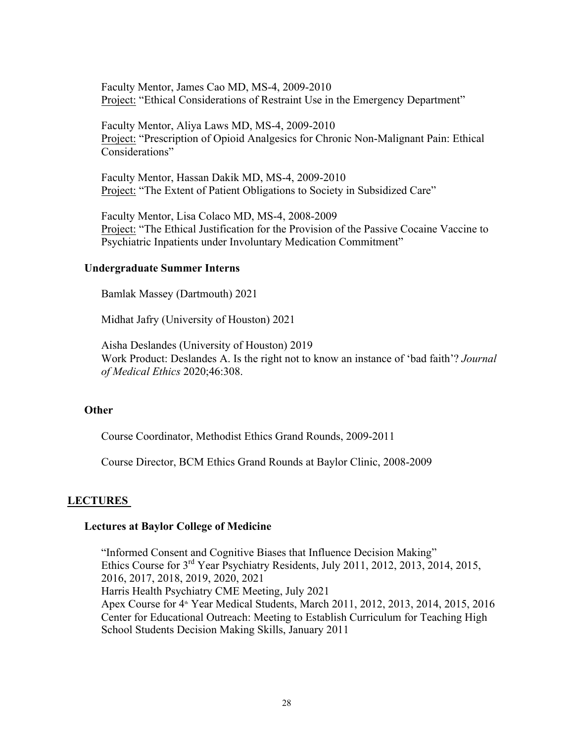Faculty Mentor, James Cao MD, MS-4, 2009-2010 Project: "Ethical Considerations of Restraint Use in the Emergency Department"

Faculty Mentor, Aliya Laws MD, MS-4, 2009-2010 Project: "Prescription of Opioid Analgesics for Chronic Non-Malignant Pain: Ethical Considerations"

Faculty Mentor, Hassan Dakik MD, MS-4, 2009-2010 Project: "The Extent of Patient Obligations to Society in Subsidized Care"

Faculty Mentor, Lisa Colaco MD, MS-4, 2008-2009 Project: "The Ethical Justification for the Provision of the Passive Cocaine Vaccine to Psychiatric Inpatients under Involuntary Medication Commitment"

### **Undergraduate Summer Interns**

Bamlak Massey (Dartmouth) 2021

Midhat Jafry (University of Houston) 2021

Aisha Deslandes (University of Houston) 2019 Work Product: Deslandes A. Is the right not to know an instance of 'bad faith'? *Journal of Medical Ethics* 2020;46:308.

#### **Other**

Course Coordinator, Methodist Ethics Grand Rounds, 2009-2011

Course Director, BCM Ethics Grand Rounds at Baylor Clinic, 2008-2009

## **LECTURES**

#### **Lectures at Baylor College of Medicine**

"Informed Consent and Cognitive Biases that Influence Decision Making" Ethics Course for  $3<sup>rd</sup>$  Year Psychiatry Residents, July 2011, 2012, 2013, 2014, 2015, 2016, 2017, 2018, 2019, 2020, 2021 Harris Health Psychiatry CME Meeting, July 2021 Apex Course for 4<sup>th</sup> Year Medical Students, March 2011, 2012, 2013, 2014, 2015, 2016 Center for Educational Outreach: Meeting to Establish Curriculum for Teaching High School Students Decision Making Skills, January 2011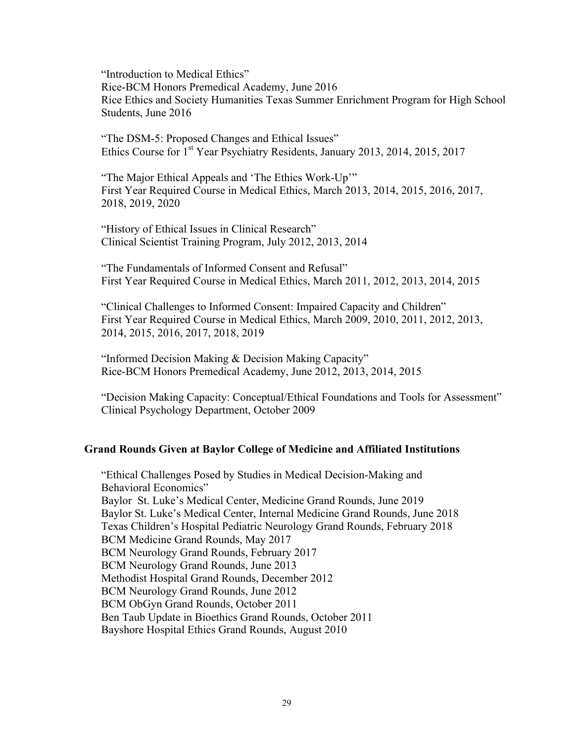"Introduction to Medical Ethics" Rice-BCM Honors Premedical Academy, June 2016 Rice Ethics and Society Humanities Texas Summer Enrichment Program for High School Students, June 2016

"The DSM-5: Proposed Changes and Ethical Issues" Ethics Course for 1st Year Psychiatry Residents, January 2013, 2014, 2015, 2017

"The Major Ethical Appeals and 'The Ethics Work-Up'" First Year Required Course in Medical Ethics, March 2013, 2014, 2015, 2016, 2017, 2018, 2019, 2020

"History of Ethical Issues in Clinical Research" Clinical Scientist Training Program, July 2012, 2013, 2014

"The Fundamentals of Informed Consent and Refusal" First Year Required Course in Medical Ethics, March 2011, 2012, 2013, 2014, 2015

"Clinical Challenges to Informed Consent: Impaired Capacity and Children" First Year Required Course in Medical Ethics, March 2009, 2010, 2011, 2012, 2013, 2014, 2015, 2016, 2017, 2018, 2019

"Informed Decision Making & Decision Making Capacity" Rice-BCM Honors Premedical Academy, June 2012, 2013, 2014, 2015

"Decision Making Capacity: Conceptual/Ethical Foundations and Tools for Assessment" Clinical Psychology Department, October 2009

#### **Grand Rounds Given at Baylor College of Medicine and Affiliated Institutions**

"Ethical Challenges Posed by Studies in Medical Decision-Making and Behavioral Economics" Baylor St. Luke's Medical Center, Medicine Grand Rounds, June 2019 Baylor St. Luke's Medical Center, Internal Medicine Grand Rounds, June 2018 Texas Children's Hospital Pediatric Neurology Grand Rounds, February 2018 BCM Medicine Grand Rounds, May 2017 BCM Neurology Grand Rounds, February 2017 BCM Neurology Grand Rounds, June 2013 Methodist Hospital Grand Rounds, December 2012 BCM Neurology Grand Rounds, June 2012 BCM ObGyn Grand Rounds, October 2011 Ben Taub Update in Bioethics Grand Rounds, October 2011 Bayshore Hospital Ethics Grand Rounds, August 2010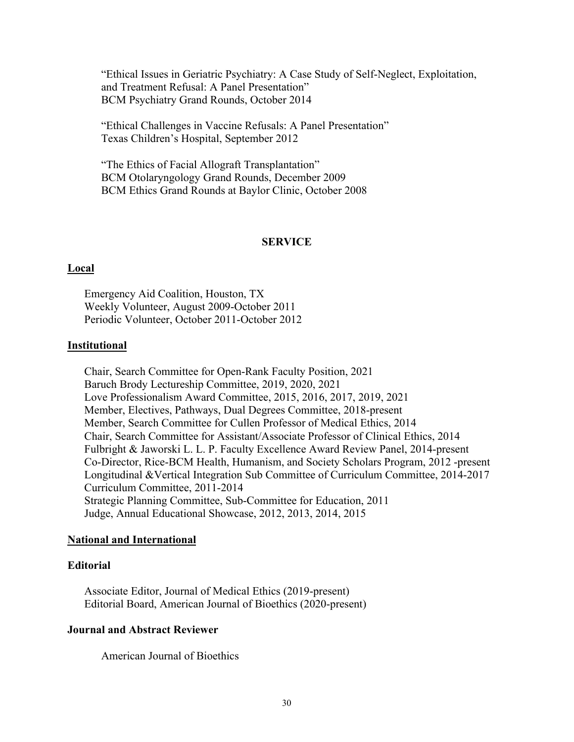"Ethical Issues in Geriatric Psychiatry: A Case Study of Self-Neglect, Exploitation, and Treatment Refusal: A Panel Presentation" BCM Psychiatry Grand Rounds, October 2014

"Ethical Challenges in Vaccine Refusals: A Panel Presentation" Texas Children's Hospital, September 2012

"The Ethics of Facial Allograft Transplantation" BCM Otolaryngology Grand Rounds, December 2009 BCM Ethics Grand Rounds at Baylor Clinic, October 2008

#### **SERVICE**

#### **Local**

Emergency Aid Coalition, Houston, TX Weekly Volunteer, August 2009-October 2011 Periodic Volunteer, October 2011-October 2012

#### **Institutional**

Chair, Search Committee for Open-Rank Faculty Position, 2021 Baruch Brody Lectureship Committee, 2019, 2020, 2021 Love Professionalism Award Committee, 2015, 2016, 2017, 2019, 2021 Member, Electives, Pathways, Dual Degrees Committee, 2018-present Member, Search Committee for Cullen Professor of Medical Ethics, 2014 Chair, Search Committee for Assistant/Associate Professor of Clinical Ethics, 2014 Fulbright & Jaworski L. L. P. Faculty Excellence Award Review Panel, 2014-present Co-Director, Rice-BCM Health, Humanism, and Society Scholars Program, 2012 -present Longitudinal &Vertical Integration Sub Committee of Curriculum Committee, 2014-2017 Curriculum Committee, 2011-2014 Strategic Planning Committee, Sub-Committee for Education, 2011 Judge, Annual Educational Showcase, 2012, 2013, 2014, 2015

#### **National and International**

#### **Editorial**

Associate Editor, Journal of Medical Ethics (2019-present) Editorial Board, American Journal of Bioethics (2020-present)

### **Journal and Abstract Reviewer**

American Journal of Bioethics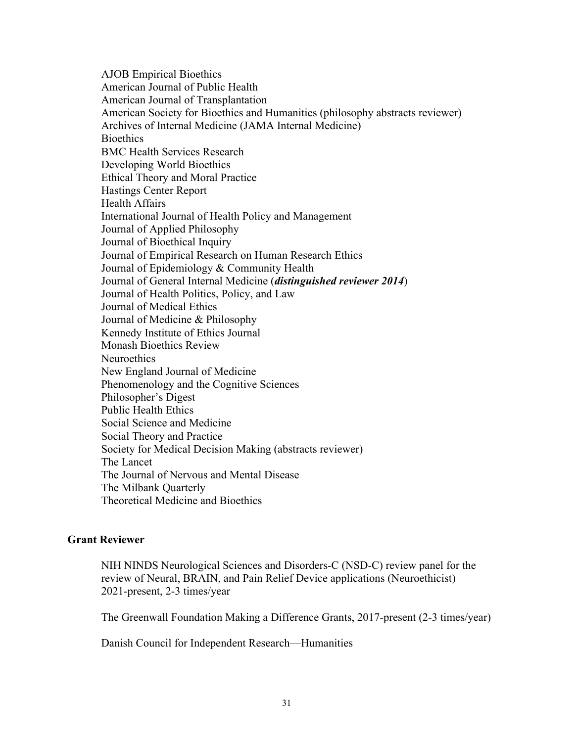AJOB Empirical Bioethics American Journal of Public Health American Journal of Transplantation American Society for Bioethics and Humanities (philosophy abstracts reviewer) Archives of Internal Medicine (JAMA Internal Medicine) **Bioethics** BMC Health Services Research Developing World Bioethics Ethical Theory and Moral Practice Hastings Center Report Health Affairs International Journal of Health Policy and Management Journal of Applied Philosophy Journal of Bioethical Inquiry Journal of Empirical Research on Human Research Ethics Journal of Epidemiology & Community Health Journal of General Internal Medicine (*distinguished reviewer 2014*) Journal of Health Politics, Policy, and Law Journal of Medical Ethics Journal of Medicine & Philosophy Kennedy Institute of Ethics Journal Monash Bioethics Review **Neuroethics** New England Journal of Medicine Phenomenology and the Cognitive Sciences Philosopher's Digest Public Health Ethics Social Science and Medicine Social Theory and Practice Society for Medical Decision Making (abstracts reviewer) The Lancet The Journal of Nervous and Mental Disease The Milbank Quarterly Theoretical Medicine and Bioethics

## **Grant Reviewer**

NIH NINDS Neurological Sciences and Disorders-C (NSD-C) review panel for the review of Neural, BRAIN, and Pain Relief Device applications (Neuroethicist) 2021-present, 2-3 times/year

The Greenwall Foundation Making a Difference Grants, 2017-present (2-3 times/year)

Danish Council for Independent Research—Humanities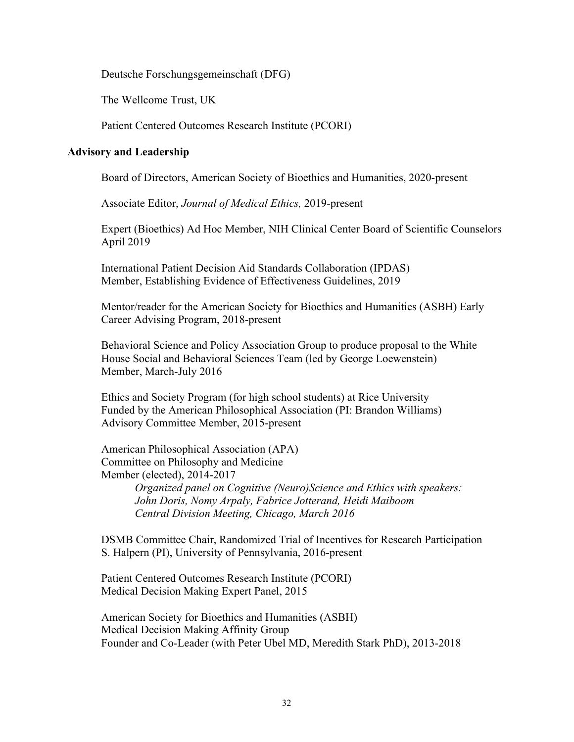Deutsche Forschungsgemeinschaft (DFG)

The Wellcome Trust, UK

Patient Centered Outcomes Research Institute (PCORI)

### **Advisory and Leadership**

Board of Directors, American Society of Bioethics and Humanities, 2020-present

Associate Editor, *Journal of Medical Ethics,* 2019-present

Expert (Bioethics) Ad Hoc Member, NIH Clinical Center Board of Scientific Counselors April 2019

International Patient Decision Aid Standards Collaboration (IPDAS) Member, Establishing Evidence of Effectiveness Guidelines, 2019

Mentor/reader for the American Society for Bioethics and Humanities (ASBH) Early Career Advising Program, 2018-present

Behavioral Science and Policy Association Group to produce proposal to the White House Social and Behavioral Sciences Team (led by George Loewenstein) Member, March-July 2016

Ethics and Society Program (for high school students) at Rice University Funded by the American Philosophical Association (PI: Brandon Williams) Advisory Committee Member, 2015-present

American Philosophical Association (APA) Committee on Philosophy and Medicine Member (elected), 2014-2017 *Organized panel on Cognitive (Neuro)Science and Ethics with speakers: John Doris, Nomy Arpaly, Fabrice Jotterand, Heidi Maiboom Central Division Meeting, Chicago, March 2016* 

DSMB Committee Chair, Randomized Trial of Incentives for Research Participation S. Halpern (PI), University of Pennsylvania, 2016-present

Patient Centered Outcomes Research Institute (PCORI) Medical Decision Making Expert Panel, 2015

American Society for Bioethics and Humanities (ASBH) Medical Decision Making Affinity Group Founder and Co-Leader (with Peter Ubel MD, Meredith Stark PhD), 2013-2018